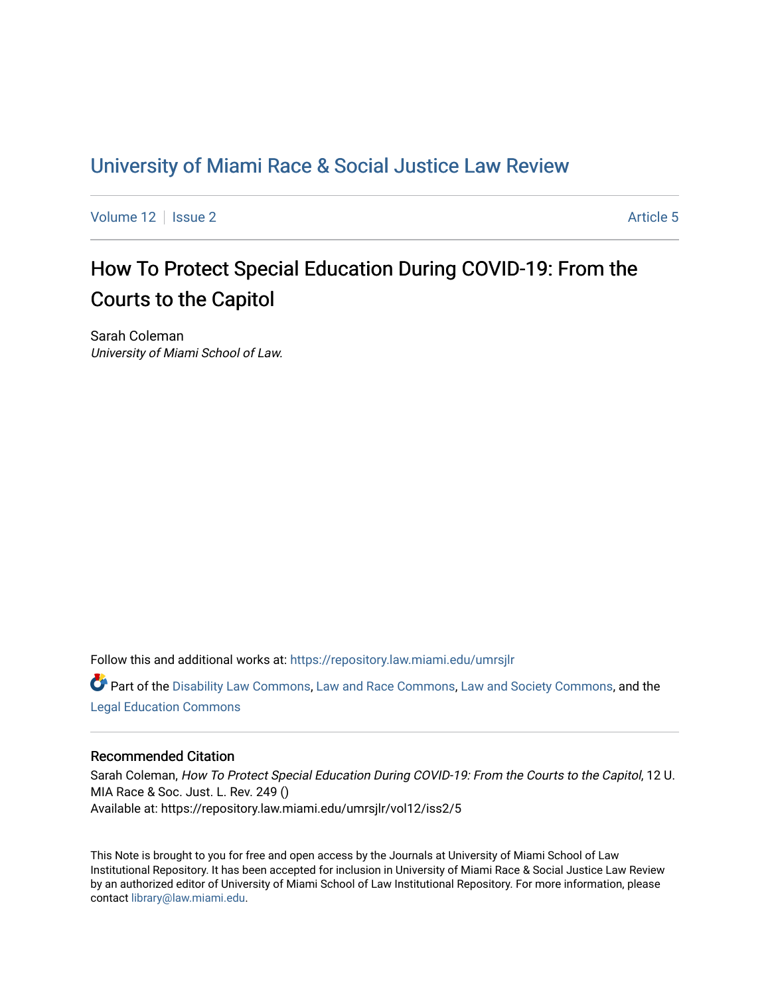## [University of Miami Race & Social Justice Law Review](https://repository.law.miami.edu/umrsjlr)

[Volume 12](https://repository.law.miami.edu/umrsjlr/vol12) Setup 2 Article 5

# How To Protect Special Education During COVID-19: From the Courts to the Capitol

Sarah Coleman University of Miami School of Law.

Follow this and additional works at: [https://repository.law.miami.edu/umrsjlr](https://repository.law.miami.edu/umrsjlr?utm_source=repository.law.miami.edu%2Fumrsjlr%2Fvol12%2Fiss2%2F5&utm_medium=PDF&utm_campaign=PDFCoverPages)

Part of the [Disability Law Commons](http://network.bepress.com/hgg/discipline/1074?utm_source=repository.law.miami.edu%2Fumrsjlr%2Fvol12%2Fiss2%2F5&utm_medium=PDF&utm_campaign=PDFCoverPages), [Law and Race Commons](http://network.bepress.com/hgg/discipline/1300?utm_source=repository.law.miami.edu%2Fumrsjlr%2Fvol12%2Fiss2%2F5&utm_medium=PDF&utm_campaign=PDFCoverPages), [Law and Society Commons,](http://network.bepress.com/hgg/discipline/853?utm_source=repository.law.miami.edu%2Fumrsjlr%2Fvol12%2Fiss2%2F5&utm_medium=PDF&utm_campaign=PDFCoverPages) and the [Legal Education Commons](http://network.bepress.com/hgg/discipline/857?utm_source=repository.law.miami.edu%2Fumrsjlr%2Fvol12%2Fiss2%2F5&utm_medium=PDF&utm_campaign=PDFCoverPages) 

## Recommended Citation

Sarah Coleman, How To Protect Special Education During COVID-19: From the Courts to the Capitol, 12 U. MIA Race & Soc. Just. L. Rev. 249 () Available at: https://repository.law.miami.edu/umrsjlr/vol12/iss2/5

This Note is brought to you for free and open access by the Journals at University of Miami School of Law Institutional Repository. It has been accepted for inclusion in University of Miami Race & Social Justice Law Review by an authorized editor of University of Miami School of Law Institutional Repository. For more information, please contact [library@law.miami.edu](mailto:library@law.miami.edu).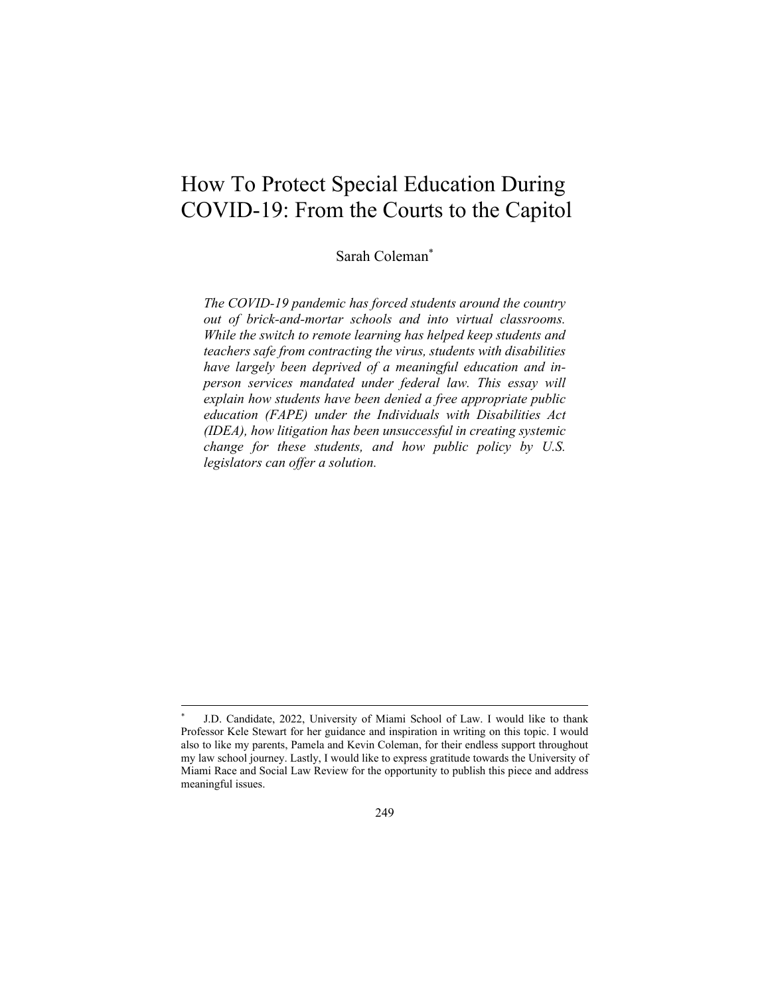## How To Protect Special Education During COVID-19: From the Courts to the Capitol

Sarah Coleman\*

*The COVID-19 pandemic has forced students around the country out of brick-and-mortar schools and into virtual classrooms. While the switch to remote learning has helped keep students and teachers safe from contracting the virus, students with disabilities have largely been deprived of a meaningful education and inperson services mandated under federal law. This essay will explain how students have been denied a free appropriate public education (FAPE) under the Individuals with Disabilities Act (IDEA), how litigation has been unsuccessful in creating systemic change for these students, and how public policy by U.S. legislators can offer a solution.* 

J.D. Candidate, 2022, University of Miami School of Law. I would like to thank Professor Kele Stewart for her guidance and inspiration in writing on this topic. I would also to like my parents, Pamela and Kevin Coleman, for their endless support throughout my law school journey. Lastly, I would like to express gratitude towards the University of Miami Race and Social Law Review for the opportunity to publish this piece and address meaningful issues.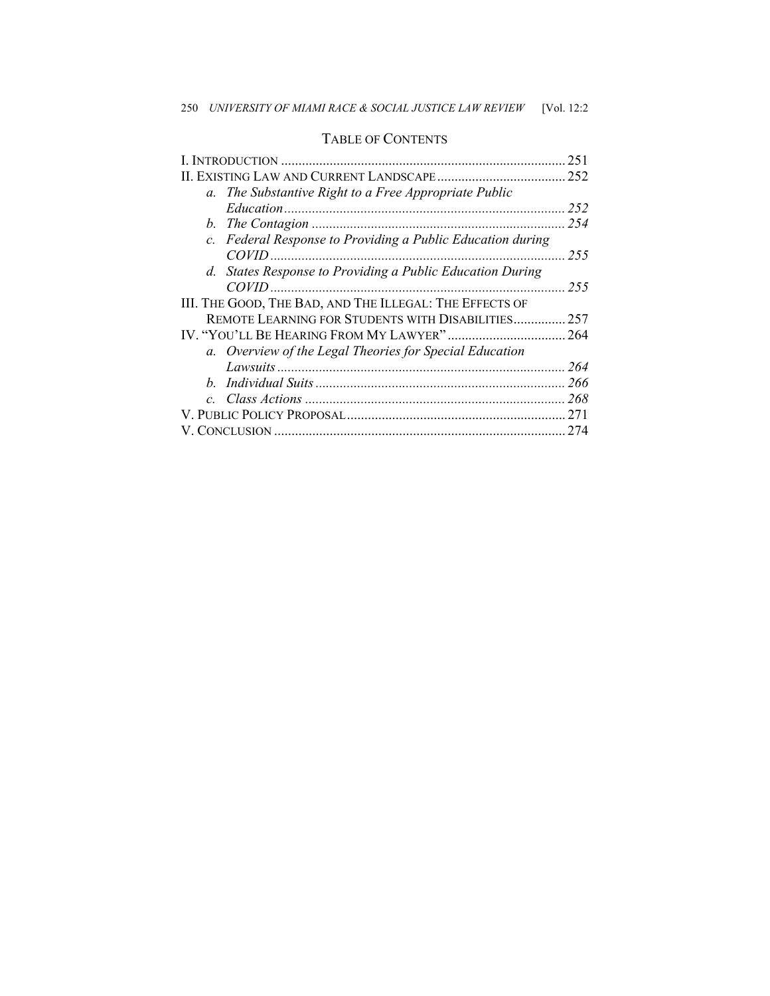|                                                                   | 251  |
|-------------------------------------------------------------------|------|
|                                                                   | 252  |
| The Substantive Right to a Free Appropriate Public<br>$a_{\cdot}$ |      |
|                                                                   | 252  |
|                                                                   | 2.54 |
| c. Federal Response to Providing a Public Education during        |      |
|                                                                   | 255  |
| d. States Response to Providing a Public Education During         |      |
|                                                                   | 255  |
| III. THE GOOD, THE BAD, AND THE ILLEGAL: THE EFFECTS OF           |      |
| REMOTE LEARNING FOR STUDENTS WITH DISABILITIES                    | 257  |
|                                                                   |      |
| a. Overview of the Legal Theories for Special Education           |      |
|                                                                   | 264  |
|                                                                   |      |
| $\mathcal{C}$                                                     | 268  |
|                                                                   |      |
|                                                                   | 274  |
|                                                                   |      |

### TABLE OF CONTENTS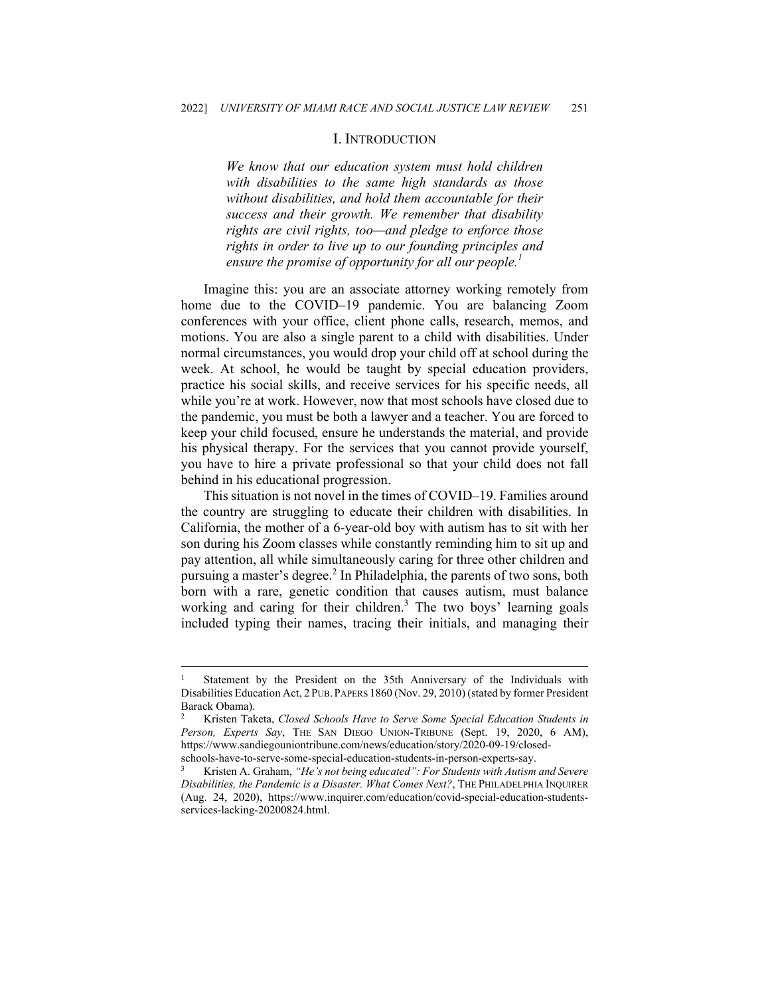#### I. INTRODUCTION

*We know that our education system must hold children with disabilities to the same high standards as those without disabilities, and hold them accountable for their success and their growth. We remember that disability rights are civil rights, too—and pledge to enforce those rights in order to live up to our founding principles and ensure the promise of opportunity for all our people.<sup>1</sup>*

Imagine this: you are an associate attorney working remotely from home due to the COVID–19 pandemic. You are balancing Zoom conferences with your office, client phone calls, research, memos, and motions. You are also a single parent to a child with disabilities. Under normal circumstances, you would drop your child off at school during the week. At school, he would be taught by special education providers, practice his social skills, and receive services for his specific needs, all while you're at work. However, now that most schools have closed due to the pandemic, you must be both a lawyer and a teacher. You are forced to keep your child focused, ensure he understands the material, and provide his physical therapy. For the services that you cannot provide yourself, you have to hire a private professional so that your child does not fall behind in his educational progression.

This situation is not novel in the times of COVID–19. Families around the country are struggling to educate their children with disabilities. In California, the mother of a 6-year-old boy with autism has to sit with her son during his Zoom classes while constantly reminding him to sit up and pay attention, all while simultaneously caring for three other children and pursuing a master's degree.<sup>2</sup> In Philadelphia, the parents of two sons, both born with a rare, genetic condition that causes autism, must balance working and caring for their children.<sup>3</sup> The two boys' learning goals included typing their names, tracing their initials, and managing their

Statement by the President on the 35th Anniversary of the Individuals with Disabilities Education Act, 2 PUB. PAPERS 1860 (Nov. 29, 2010) (stated by former President Barack Obama).

<sup>2</sup> Kristen Taketa, *Closed Schools Have to Serve Some Special Education Students in Person, Experts Say*, THE SAN DIEGO UNION-TRIBUNE (Sept. 19, 2020, 6 AM), https://www.sandiegouniontribune.com/news/education/story/2020-09-19/closed-

schools-have-to-serve-some-special-education-students-in-person-experts-say. 3 Kristen A. Graham, *"He's not being educated": For Students with Autism and Severe Disabilities, the Pandemic is a Disaster. What Comes Next?*, THE PHILADELPHIA INQUIRER (Aug. 24, 2020), https://www.inquirer.com/education/covid-special-education-studentsservices-lacking-20200824.html.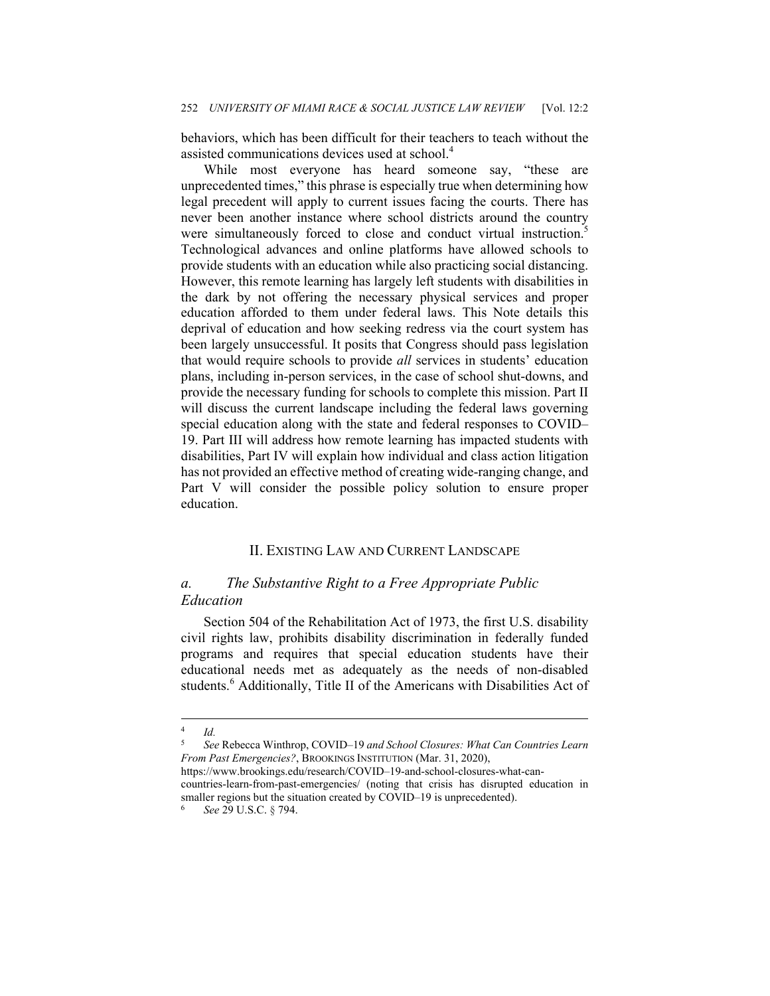behaviors, which has been difficult for their teachers to teach without the assisted communications devices used at school.<sup>4</sup>

While most everyone has heard someone say, "these are unprecedented times," this phrase is especially true when determining how legal precedent will apply to current issues facing the courts. There has never been another instance where school districts around the country were simultaneously forced to close and conduct virtual instruction.<sup>5</sup> Technological advances and online platforms have allowed schools to provide students with an education while also practicing social distancing. However, this remote learning has largely left students with disabilities in the dark by not offering the necessary physical services and proper education afforded to them under federal laws. This Note details this deprival of education and how seeking redress via the court system has been largely unsuccessful. It posits that Congress should pass legislation that would require schools to provide *all* services in students' education plans, including in-person services, in the case of school shut-downs, and provide the necessary funding for schools to complete this mission. Part II will discuss the current landscape including the federal laws governing special education along with the state and federal responses to COVID– 19. Part III will address how remote learning has impacted students with disabilities, Part IV will explain how individual and class action litigation has not provided an effective method of creating wide-ranging change, and Part V will consider the possible policy solution to ensure proper education.

#### II. EXISTING LAW AND CURRENT LANDSCAPE

## *a. The Substantive Right to a Free Appropriate Public Education*

Section 504 of the Rehabilitation Act of 1973, the first U.S. disability civil rights law, prohibits disability discrimination in federally funded programs and requires that special education students have their educational needs met as adequately as the needs of non-disabled students.<sup>6</sup> Additionally, Title II of the Americans with Disabilities Act of

<sup>4</sup> *Id.*

<sup>5</sup> *See* Rebecca Winthrop, COVID–19 *and School Closures: What Can Countries Learn From Past Emergencies?*, BROOKINGS INSTITUTION (Mar. 31, 2020),

https://www.brookings.edu/research/COVID–19-and-school-closures-what-cancountries-learn-from-past-emergencies/ (noting that crisis has disrupted education in smaller regions but the situation created by COVID–19 is unprecedented).<br><sup>6</sup> See 29 U.S.C. § 794.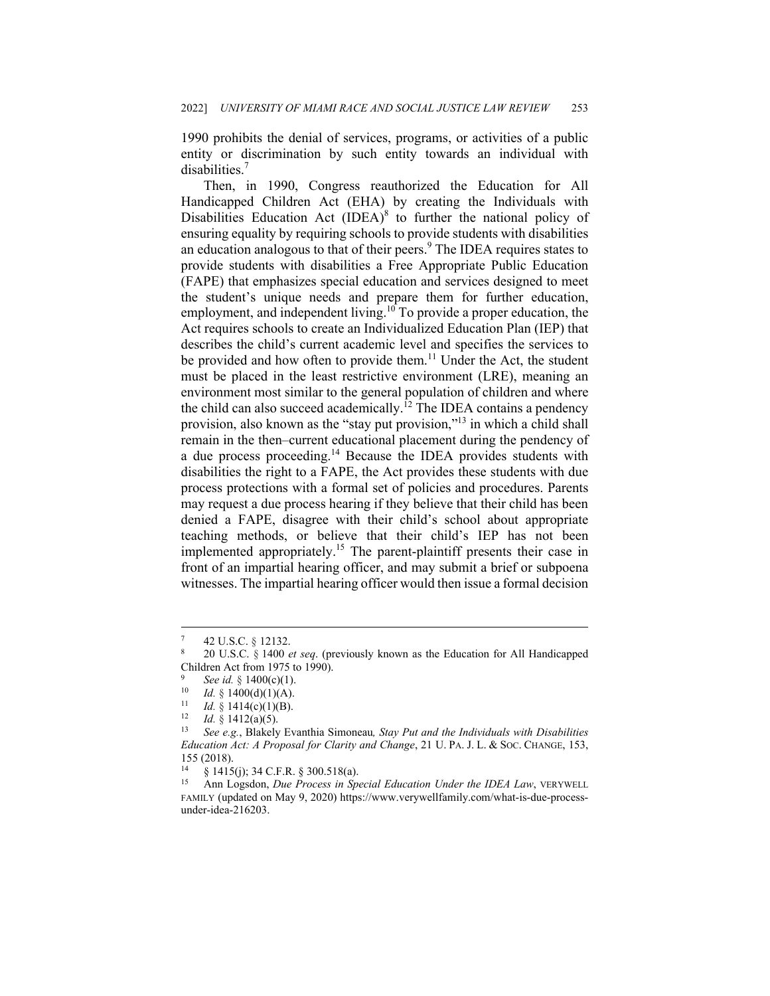1990 prohibits the denial of services, programs, or activities of a public entity or discrimination by such entity towards an individual with disabilities.<sup>7</sup>

Then, in 1990, Congress reauthorized the Education for All Handicapped Children Act (EHA) by creating the Individuals with Disabilities Education Act  $(IDEA)^8$  to further the national policy of ensuring equality by requiring schools to provide students with disabilities an education analogous to that of their peers.<sup>9</sup> The IDEA requires states to provide students with disabilities a Free Appropriate Public Education (FAPE) that emphasizes special education and services designed to meet the student's unique needs and prepare them for further education, employment, and independent living.<sup>10</sup> To provide a proper education, the Act requires schools to create an Individualized Education Plan (IEP) that describes the child's current academic level and specifies the services to be provided and how often to provide them.<sup>11</sup> Under the Act, the student must be placed in the least restrictive environment (LRE), meaning an environment most similar to the general population of children and where the child can also succeed academically.<sup> $12$ </sup> The IDEA contains a pendency provision, also known as the "stay put provision,"13 in which a child shall remain in the then–current educational placement during the pendency of a due process proceeding.<sup>14</sup> Because the IDEA provides students with disabilities the right to a FAPE, the Act provides these students with due process protections with a formal set of policies and procedures. Parents may request a due process hearing if they believe that their child has been denied a FAPE, disagree with their child's school about appropriate teaching methods, or believe that their child's IEP has not been implemented appropriately.<sup>15</sup> The parent-plaintiff presents their case in front of an impartial hearing officer, and may submit a brief or subpoena witnesses. The impartial hearing officer would then issue a formal decision

<sup>7 42</sup> U.S.C. § 12132. 8 20 U.S.C. § 1400 *et seq*. (previously known as the Education for All Handicapped Children Act from 1975 to 1990).

<sup>&</sup>lt;sup>9</sup> See id. § 1400(c)(1).<br><sup>10</sup> Id. § 1400(d)(1)(A).<br><sup>11</sup> Id. § 1414(c)(1)(B).<br><sup>12</sup> Id. § 1412(a)(5).<br><sup>13</sup> See e.g., Blakely Evanthia Simoneau, *Stay Put and the Individuals with Disabilities Education Act: A Proposal for Clarity and Change*, 21 U. PA. J. L. & SOC. CHANGE, 153, 155 (2018).

<sup>&</sup>lt;sup>14</sup> § 1415(j); 34 C.F.R. § 300.518(a).<br><sup>15</sup> App Logsdon, *Due Process in* Sp

<sup>15</sup> Ann Logsdon, *Due Process in Special Education Under the IDEA Law*, VERYWELL FAMILY (updated on May 9, 2020) https://www.verywellfamily.com/what-is-due-processunder-idea-216203.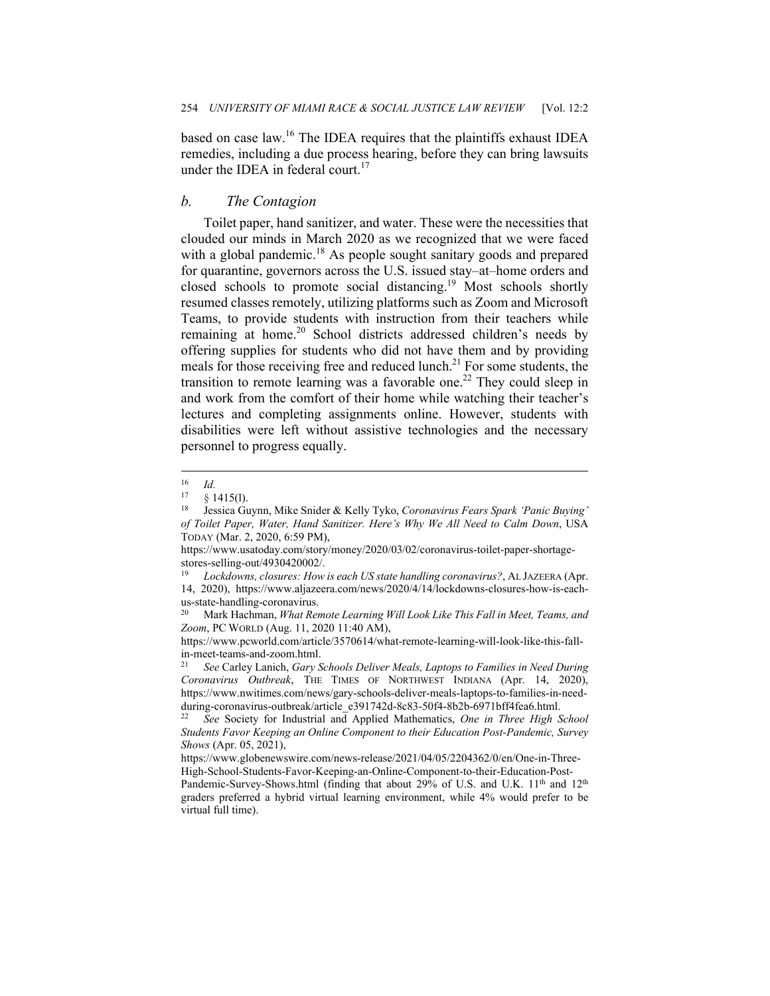based on case law.16 The IDEA requires that the plaintiffs exhaust IDEA remedies, including a due process hearing, before they can bring lawsuits under the IDEA in federal court.<sup>17</sup>

#### *b. The Contagion*

Toilet paper, hand sanitizer, and water. These were the necessities that clouded our minds in March 2020 as we recognized that we were faced with a global pandemic.<sup>18</sup> As people sought sanitary goods and prepared for quarantine, governors across the U.S. issued stay–at–home orders and closed schools to promote social distancing.19 Most schools shortly resumed classes remotely, utilizing platforms such as Zoom and Microsoft Teams, to provide students with instruction from their teachers while remaining at home.<sup>20</sup> School districts addressed children's needs by offering supplies for students who did not have them and by providing meals for those receiving free and reduced lunch.<sup>21</sup> For some students, the transition to remote learning was a favorable one.<sup>22</sup> They could sleep in and work from the comfort of their home while watching their teacher's lectures and completing assignments online. However, students with disabilities were left without assistive technologies and the necessary personnel to progress equally.

 $\frac{16}{17}$  *Id.* 

<sup>&</sup>lt;sup>17</sup> § 1415(l).<br><sup>18</sup> Jessica Guynn, Mike Snider & Kelly Tyko, *Coronavirus Fears Spark 'Panic Buying' of Toilet Paper, Water, Hand Sanitizer. Here's Why We All Need to Calm Down*, USA TODAY (Mar. 2, 2020, 6:59 PM),

https://www.usatoday.com/story/money/2020/03/02/coronavirus-toilet-paper-shortagestores-selling-out/4930420002/.

<sup>19</sup> *Lockdowns, closures: How is each US state handling coronavirus?*, AL JAZEERA (Apr. 14, 2020), https://www.aljazeera.com/news/2020/4/14/lockdowns-closures-how-is-eachus-state-handling-coronavirus.

<sup>20</sup> Mark Hachman, *What Remote Learning Will Look Like This Fall in Meet, Teams, and Zoom*, PC WORLD (Aug. 11, 2020 11:40 AM),

https://www.pcworld.com/article/3570614/what-remote-learning-will-look-like-this-fallin-meet-teams-and-zoom.html.

<sup>21</sup> *See* Carley Lanich, *Gary Schools Deliver Meals, Laptops to Families in Need During Coronavirus Outbreak*, THE TIMES OF NORTHWEST INDIANA (Apr. 14, 2020), https://www.nwitimes.com/news/gary-schools-deliver-meals-laptops-to-families-in-needduring-coronavirus-outbreak/article\_e391742d-8c83-50f4-8b2b-6971bff4fea6.html.

<sup>22</sup> *See* Society for Industrial and Applied Mathematics, *One in Three High School Students Favor Keeping an Online Component to their Education Post-Pandemic, Survey Shows* (Apr. 05, 2021),

https://www.globenewswire.com/news-release/2021/04/05/2204362/0/en/One-in-Three-High-School-Students-Favor-Keeping-an-Online-Component-to-their-Education-Post-

Pandemic-Survey-Shows.html (finding that about 29% of U.S. and U.K. 11<sup>th</sup> and 12<sup>th</sup> graders preferred a hybrid virtual learning environment, while 4% would prefer to be virtual full time).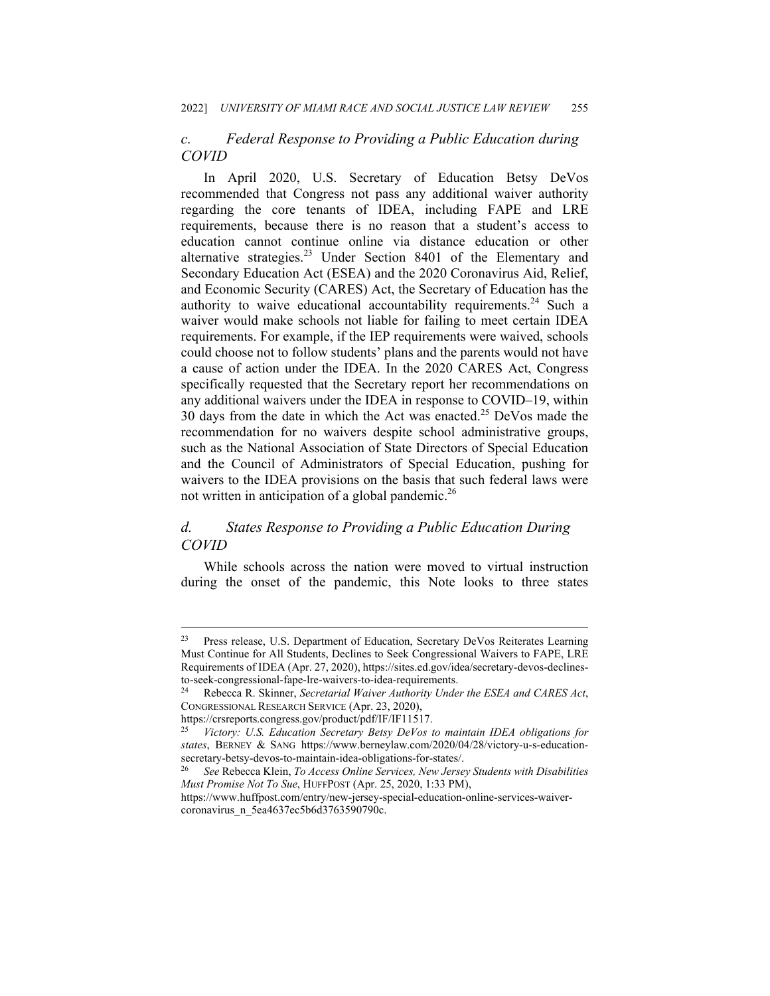## *c. Federal Response to Providing a Public Education during COVID*

In April 2020, U.S. Secretary of Education Betsy DeVos recommended that Congress not pass any additional waiver authority regarding the core tenants of IDEA, including FAPE and LRE requirements, because there is no reason that a student's access to education cannot continue online via distance education or other alternative strategies. $^{23}$  Under Section 8401 of the Elementary and Secondary Education Act (ESEA) and the 2020 Coronavirus Aid, Relief, and Economic Security (CARES) Act, the Secretary of Education has the authority to waive educational accountability requirements.<sup>24</sup> Such a waiver would make schools not liable for failing to meet certain IDEA requirements. For example, if the IEP requirements were waived, schools could choose not to follow students' plans and the parents would not have a cause of action under the IDEA. In the 2020 CARES Act, Congress specifically requested that the Secretary report her recommendations on any additional waivers under the IDEA in response to COVID–19, within 30 days from the date in which the Act was enacted.<sup>25</sup> DeVos made the recommendation for no waivers despite school administrative groups, such as the National Association of State Directors of Special Education and the Council of Administrators of Special Education, pushing for waivers to the IDEA provisions on the basis that such federal laws were not written in anticipation of a global pandemic.<sup>26</sup>

## *d. States Response to Providing a Public Education During COVID*

While schools across the nation were moved to virtual instruction during the onset of the pandemic, this Note looks to three states

<sup>23</sup> Press release, U.S. Department of Education, Secretary DeVos Reiterates Learning Must Continue for All Students, Declines to Seek Congressional Waivers to FAPE, LRE Requirements of IDEA (Apr. 27, 2020), https://sites.ed.gov/idea/secretary-devos-declinesto-seek-congressional-fape-lre-waivers-to-idea-requirements. 24 Rebecca R. Skinner, *Secretarial Waiver Authority Under the ESEA and CARES Act*,

CONGRESSIONAL RESEARCH SERVICE (Apr. 23, 2020),

https://crsreports.congress.gov/product/pdf/IF/IF11517.

<sup>25</sup> *Victory: U.S. Education Secretary Betsy DeVos to maintain IDEA obligations for states*, BERNEY & SANG https://www.berneylaw.com/2020/04/28/victory-u-s-educationsecretary-betsy-devos-to-maintain-idea-obligations-for-states/. 26 *See* Rebecca Klein, *To Access Online Services, New Jersey Students with Disabilities* 

*Must Promise Not To Sue*, HUFFPOST (Apr. 25, 2020, 1:33 PM),

https://www.huffpost.com/entry/new-jersey-special-education-online-services-waivercoronavirus\_n\_5ea4637ec5b6d3763590790c.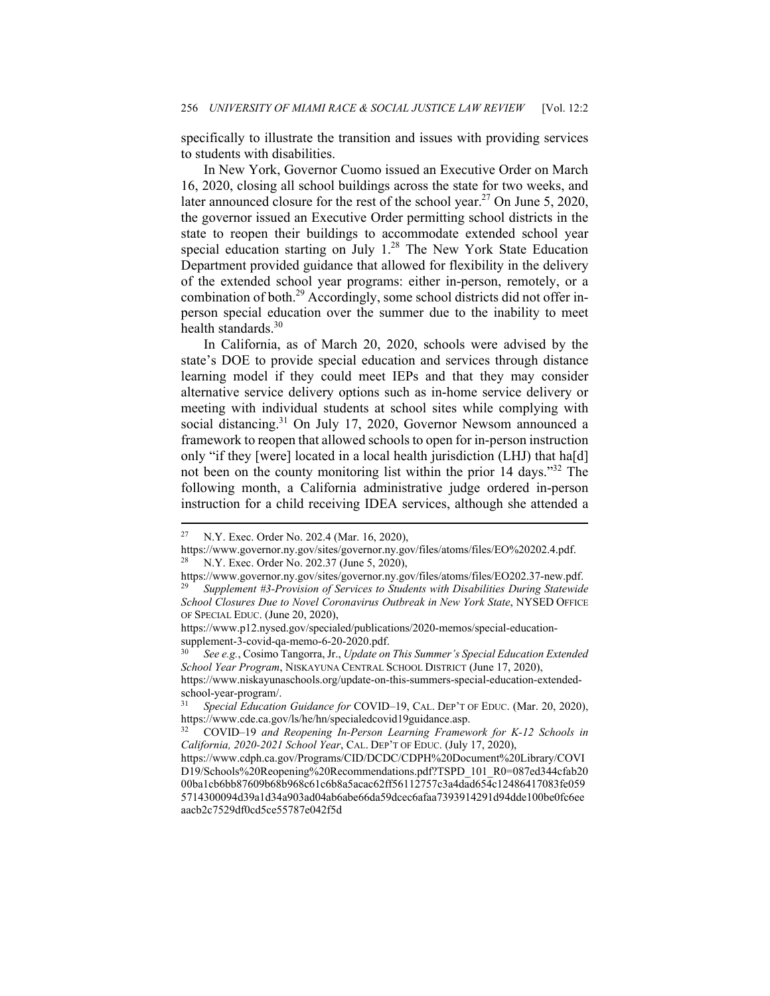specifically to illustrate the transition and issues with providing services to students with disabilities.

In New York, Governor Cuomo issued an Executive Order on March 16, 2020, closing all school buildings across the state for two weeks, and later announced closure for the rest of the school year.<sup>27</sup> On June 5, 2020, the governor issued an Executive Order permitting school districts in the state to reopen their buildings to accommodate extended school year special education starting on July 1.<sup>28</sup> The New York State Education Department provided guidance that allowed for flexibility in the delivery of the extended school year programs: either in-person, remotely, or a combination of both.<sup>29</sup> Accordingly, some school districts did not offer inperson special education over the summer due to the inability to meet health standards.<sup>30</sup>

In California, as of March 20, 2020, schools were advised by the state's DOE to provide special education and services through distance learning model if they could meet IEPs and that they may consider alternative service delivery options such as in-home service delivery or meeting with individual students at school sites while complying with social distancing.<sup>31</sup> On July 17, 2020, Governor Newsom announced a framework to reopen that allowed schools to open for in-person instruction only "if they [were] located in a local health jurisdiction (LHJ) that ha[d] not been on the county monitoring list within the prior 14 days."<sup>32</sup> The following month, a California administrative judge ordered in-person instruction for a child receiving IDEA services, although she attended a

https://www.niskayunaschools.org/update-on-this-summers-special-education-extendedschool-year-program/.

<sup>27</sup> N.Y. Exec. Order No. 202.4 (Mar. 16, 2020),

https://www.governor.ny.gov/sites/governor.ny.gov/files/atoms/files/EO%20202.4.pdf. <sup>28</sup> N.Y. Exec. Order No. 202.37 (June 5, 2020),

https://www.governor.ny.gov/sites/governor.ny.gov/files/atoms/files/EO202.37-new.pdf. 29 *Supplement #3-Provision of Services to Students with Disabilities During Statewide School Closures Due to Novel Coronavirus Outbreak in New York State*, NYSED OFFICE OF SPECIAL EDUC. (June 20, 2020),

https://www.p12.nysed.gov/specialed/publications/2020-memos/special-educationsupplement-3-covid-qa-memo-6-20-2020.pdf.

<sup>30</sup> *See e.g.*, Cosimo Tangorra, Jr., *Update on This Summer's Special Education Extended School Year Program*, NISKAYUNA CENTRAL SCHOOL DISTRICT (June 17, 2020),

<sup>31</sup> *Special Education Guidance for* COVID–19, CAL. DEP'T OF EDUC. (Mar. 20, 2020), https://www.cde.ca.gov/ls/he/hn/specialedcovid19guidance.asp. 32 COVID–19 *and Reopening In-Person Learning Framework for K-12 Schools in* 

*California, 2020-2021 School Year*, CAL. DEP'T OF EDUC. (July 17, 2020),

https://www.cdph.ca.gov/Programs/CID/DCDC/CDPH%20Document%20Library/COVI D19/Schools%20Reopening%20Recommendations.pdf?TSPD\_101\_R0=087ed344cfab20 00ba1cb6bb87609b68b968c61c6b8a5acac62ff56112757c3a4dad654c12486417083fe059 5714300094d39a1d34a903ad04ab6abe66da59dcec6afaa7393914291d94dde100be0fc6ee aacb2c7529df0cd5ce55787e042f5d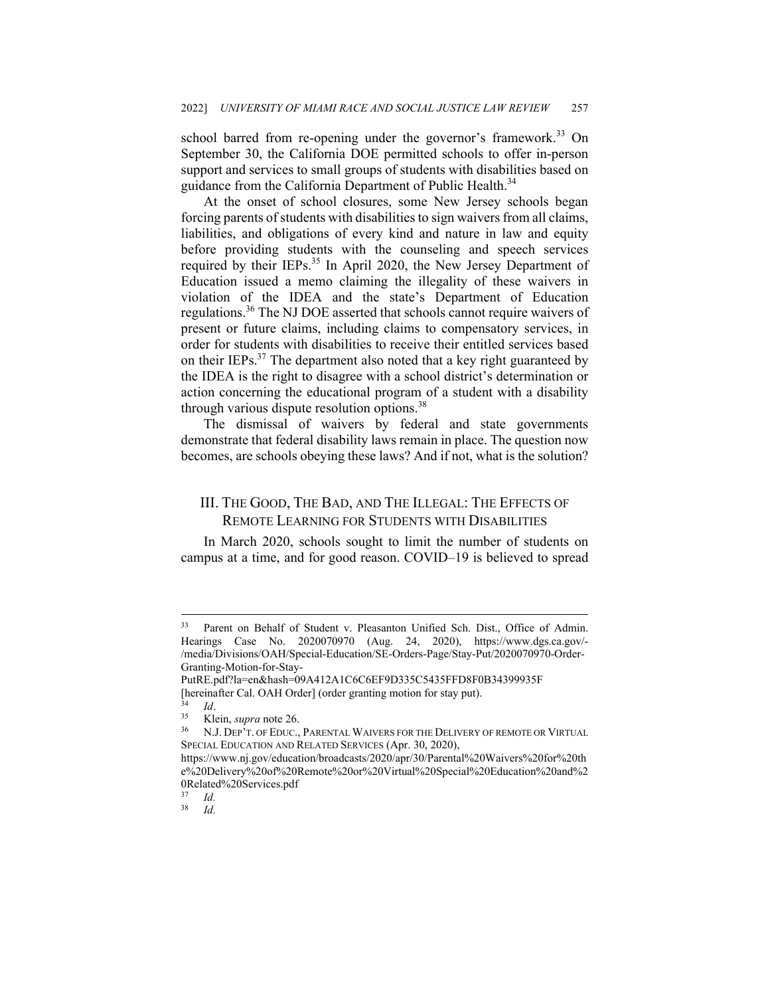school barred from re-opening under the governor's framework.<sup>33</sup> On September 30, the California DOE permitted schools to offer in-person support and services to small groups of students with disabilities based on guidance from the California Department of Public Health.<sup>34</sup>

At the onset of school closures, some New Jersey schools began forcing parents of students with disabilities to sign waivers from all claims, liabilities, and obligations of every kind and nature in law and equity before providing students with the counseling and speech services required by their IEPs.<sup>35</sup> In April 2020, the New Jersey Department of Education issued a memo claiming the illegality of these waivers in violation of the IDEA and the state's Department of Education regulations.36 The NJ DOE asserted that schools cannot require waivers of present or future claims, including claims to compensatory services, in order for students with disabilities to receive their entitled services based on their IEPs.<sup>37</sup> The department also noted that a key right guaranteed by the IDEA is the right to disagree with a school district's determination or action concerning the educational program of a student with a disability through various dispute resolution options.<sup>38</sup>

The dismissal of waivers by federal and state governments demonstrate that federal disability laws remain in place. The question now becomes, are schools obeying these laws? And if not, what is the solution?

## III. THE GOOD, THE BAD, AND THE ILLEGAL: THE EFFECTS OF REMOTE LEARNING FOR STUDENTS WITH DISABILITIES

In March 2020, schools sought to limit the number of students on campus at a time, and for good reason. COVID–19 is believed to spread

<sup>33</sup> Parent on Behalf of Student v. Pleasanton Unified Sch. Dist., Office of Admin. Hearings Case No. 2020070970 (Aug. 24, 2020), https://www.dgs.ca.gov/- /media/Divisions/OAH/Special-Education/SE-Orders-Page/Stay-Put/2020070970-Order-Granting-Motion-for-Stay-

PutRE.pdf?la=en&hash=09A412A1C6C6EF9D335C5435FFD8F0B34399935F Thereinafter Cal. OAH Order] (order granting motion for stay put).<br>
<sup>34</sup> *Id.*<br>
<sup>35</sup> Klein, *supra* note 26.<br>
<sup>36</sup> N.J. DEP'T. OF EDUC., PARENTAL WAIVERS FOR THE DELIVERY OF REMOTE OR VIRTUAL

SPECIAL EDUCATION AND RELATED SERVICES (Apr. 30, 2020),

https://www.nj.gov/education/broadcasts/2020/apr/30/Parental%20Waivers%20for%20th e%20Delivery%20of%20Remote%20or%20Virtual%20Special%20Education%20and%2 0Related%20Services.pdf

 $\frac{37}{38}$  *Id.* 

<sup>38</sup> *Id.*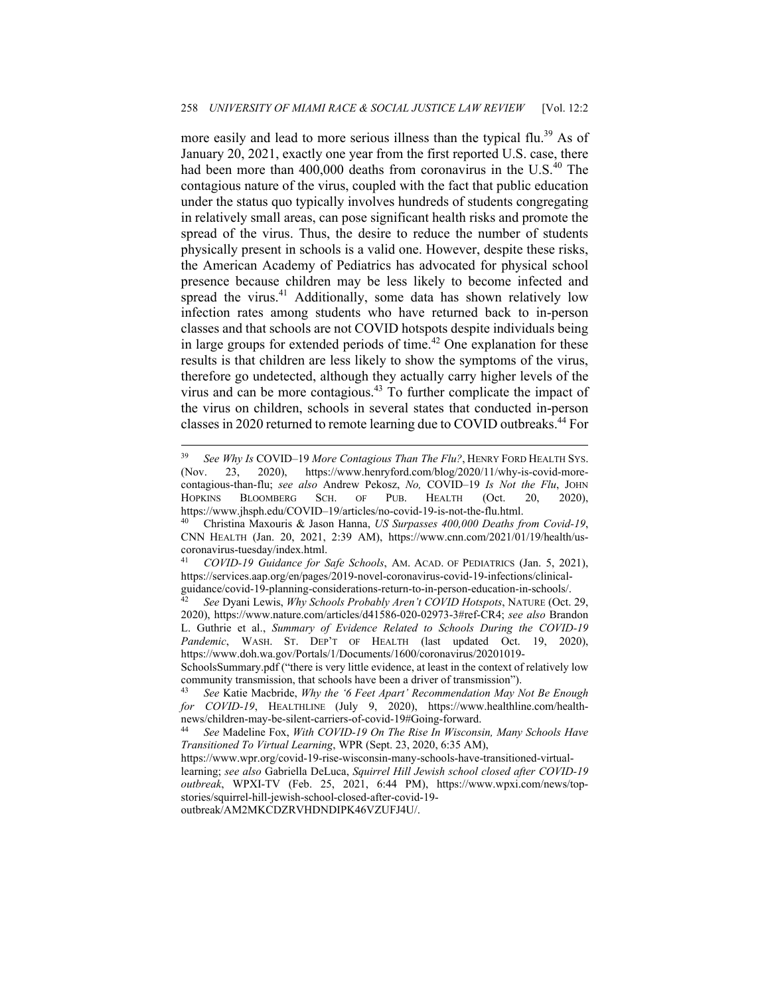more easily and lead to more serious illness than the typical flu.<sup>39</sup> As of January 20, 2021, exactly one year from the first reported U.S. case, there had been more than 400,000 deaths from coronavirus in the U.S.<sup>40</sup> The contagious nature of the virus, coupled with the fact that public education under the status quo typically involves hundreds of students congregating in relatively small areas, can pose significant health risks and promote the spread of the virus. Thus, the desire to reduce the number of students physically present in schools is a valid one. However, despite these risks, the American Academy of Pediatrics has advocated for physical school presence because children may be less likely to become infected and spread the virus.<sup>41</sup> Additionally, some data has shown relatively low infection rates among students who have returned back to in-person classes and that schools are not COVID hotspots despite individuals being in large groups for extended periods of time.<sup>42</sup> One explanation for these results is that children are less likely to show the symptoms of the virus, therefore go undetected, although they actually carry higher levels of the virus and can be more contagious.<sup>43</sup> To further complicate the impact of the virus on children, schools in several states that conducted in-person classes in 2020 returned to remote learning due to COVID outbreaks.<sup>44</sup> For

outbreak/AM2MKCDZRVHDNDIPK46VZUFJ4U/.

<sup>39</sup> *See Why Is* COVID–19 *More Contagious Than The Flu?*, HENRY FORD HEALTH SYS. (Nov. 23, 2020), https://www.henryford.com/blog/2020/11/why-is-covid-morecontagious-than-flu; *see also* Andrew Pekosz, *No,* COVID–19 *Is Not the Flu*, JOHN HOPKINS BLOOMBERG SCH. OF PUB. HEALTH (Oct. 20, 2020), https://www.jhsph.edu/COVID–19/articles/no-covid-19-is-not-the-flu.html. 40 Christina Maxouris & Jason Hanna, *US Surpasses 400,000 Deaths from Covid-19*,

CNN HEALTH (Jan. 20, 2021, 2:39 AM), https://www.cnn.com/2021/01/19/health/uscoronavirus-tuesday/index.html.

<sup>41</sup> *COVID-19 Guidance for Safe Schools*, AM. ACAD. OF PEDIATRICS (Jan. 5, 2021), https://services.aap.org/en/pages/2019-novel-coronavirus-covid-19-infections/clinical-

guidance/covid-19-planning-considerations-return-to-in-person-education-in-schools/. 42 *See* Dyani Lewis, *Why Schools Probably Aren't COVID Hotspots*, NATURE (Oct. 29, 2020), https://www.nature.com/articles/d41586-020-02973-3#ref-CR4; *see also* Brandon L. Guthrie et al., *Summary of Evidence Related to Schools During the COVID-19*  Pandemic, WASH. ST. DEP'T OF HEALTH (last updated Oct. 19, 2020), https://www.doh.wa.gov/Portals/1/Documents/1600/coronavirus/20201019-

SchoolsSummary.pdf ("there is very little evidence, at least in the context of relatively low community transmission, that schools have been a driver of transmission"). 43 *See* Katie Macbride, *Why the '6 Feet Apart' Recommendation May Not Be Enough* 

*for COVID-19*, HEALTHLINE (July 9, 2020), https://www.healthline.com/healthnews/children-may-be-silent-carriers-of-covid-19#Going-forward. 44 *See* Madeline Fox, *With COVID-19 On The Rise In Wisconsin, Many Schools Have* 

*Transitioned To Virtual Learning*, WPR (Sept. 23, 2020, 6:35 AM),

https://www.wpr.org/covid-19-rise-wisconsin-many-schools-have-transitioned-virtuallearning; *see also* Gabriella DeLuca, *Squirrel Hill Jewish school closed after COVID-19 outbreak*, WPXI-TV (Feb. 25, 2021, 6:44 PM), https://www.wpxi.com/news/topstories/squirrel-hill-jewish-school-closed-after-covid-19-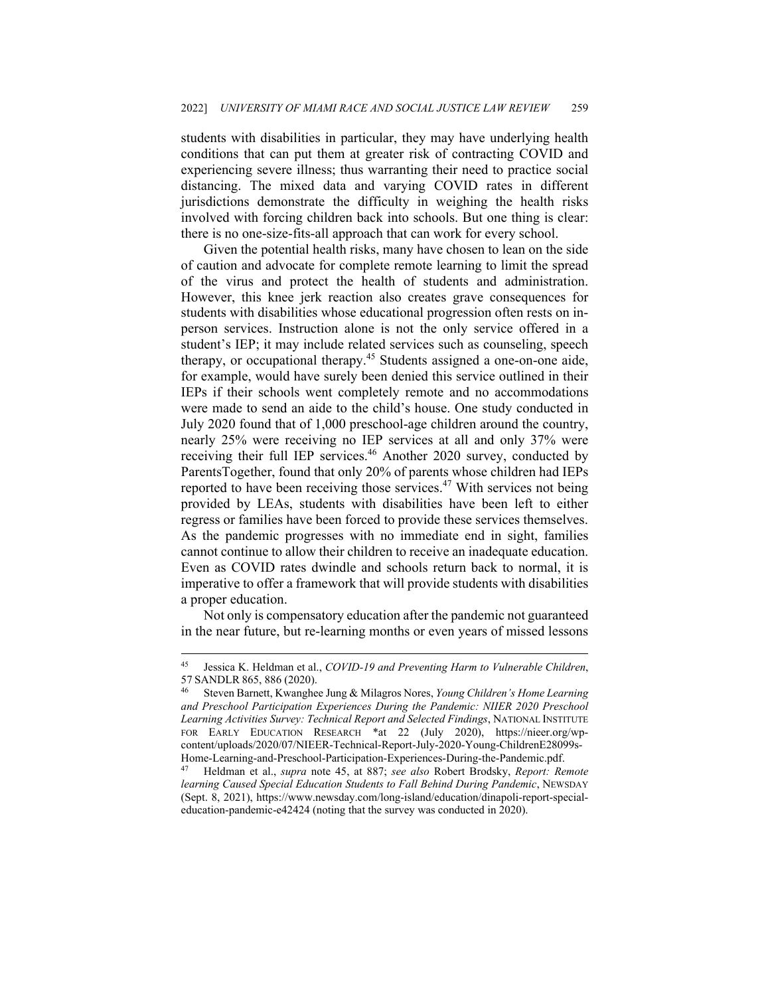students with disabilities in particular, they may have underlying health conditions that can put them at greater risk of contracting COVID and experiencing severe illness; thus warranting their need to practice social distancing. The mixed data and varying COVID rates in different jurisdictions demonstrate the difficulty in weighing the health risks involved with forcing children back into schools. But one thing is clear: there is no one-size-fits-all approach that can work for every school.

Given the potential health risks, many have chosen to lean on the side of caution and advocate for complete remote learning to limit the spread of the virus and protect the health of students and administration. However, this knee jerk reaction also creates grave consequences for students with disabilities whose educational progression often rests on inperson services. Instruction alone is not the only service offered in a student's IEP; it may include related services such as counseling, speech therapy, or occupational therapy.45 Students assigned a one-on-one aide, for example, would have surely been denied this service outlined in their IEPs if their schools went completely remote and no accommodations were made to send an aide to the child's house. One study conducted in July 2020 found that of 1,000 preschool-age children around the country, nearly 25% were receiving no IEP services at all and only 37% were receiving their full IEP services.<sup>46</sup> Another 2020 survey, conducted by ParentsTogether, found that only 20% of parents whose children had IEPs reported to have been receiving those services.<sup>47</sup> With services not being provided by LEAs, students with disabilities have been left to either regress or families have been forced to provide these services themselves. As the pandemic progresses with no immediate end in sight, families cannot continue to allow their children to receive an inadequate education. Even as COVID rates dwindle and schools return back to normal, it is imperative to offer a framework that will provide students with disabilities a proper education.

Not only is compensatory education after the pandemic not guaranteed in the near future, but re-learning months or even years of missed lessons

<sup>45</sup> Jessica K. Heldman et al., *COVID-19 and Preventing Harm to Vulnerable Children*, 57 SANDLR 865, 886 (2020).<br><sup>46</sup> Steven Barnett, Kwanghee Jung & Milagros Nores, *Young Children's Home Learning* 

*and Preschool Participation Experiences During the Pandemic: NIIER 2020 Preschool Learning Activities Survey: Technical Report and Selected Findings*, NATIONAL INSTITUTE FOR EARLY EDUCATION RESEARCH \*at 22 (July 2020), https://nieer.org/wpcontent/uploads/2020/07/NIEER-Technical-Report-July-2020-Young-ChildrenE28099s-Home-Learning-and-Preschool-Participation-Experiences-During-the-Pandemic.pdf. 47 Heldman et al., *supra* note 45, at 887; *see also* Robert Brodsky, *Report: Remote* 

*learning Caused Special Education Students to Fall Behind During Pandemic*, NEWSDAY (Sept. 8, 2021), https://www.newsday.com/long-island/education/dinapoli-report-specialeducation-pandemic-e42424 (noting that the survey was conducted in 2020).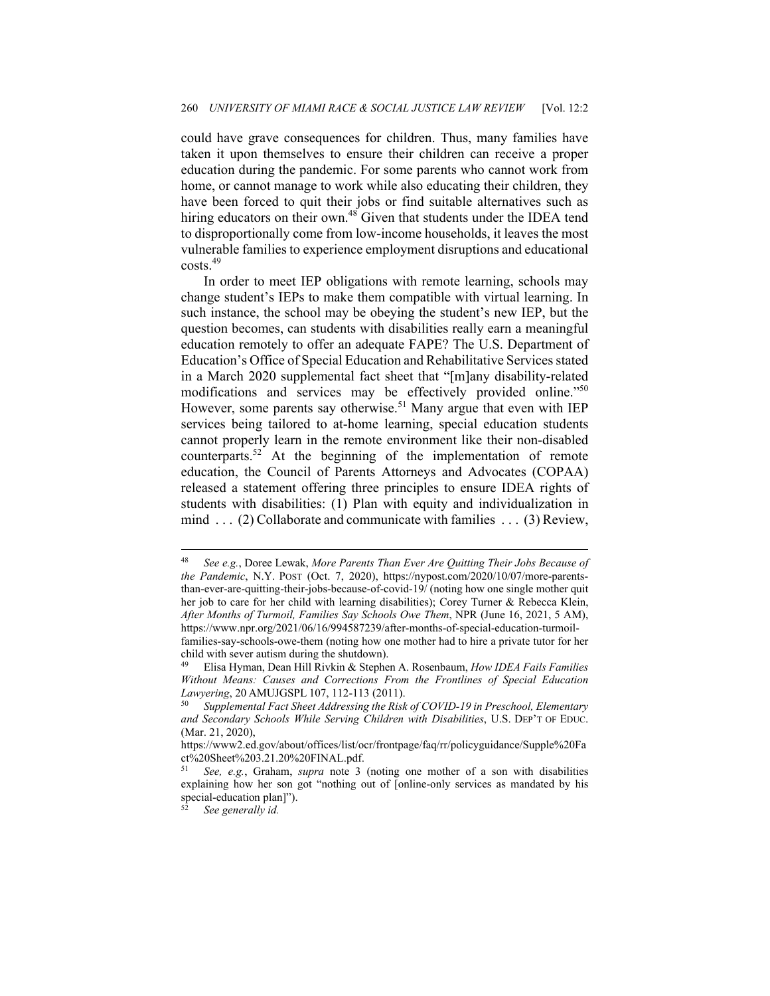could have grave consequences for children. Thus, many families have taken it upon themselves to ensure their children can receive a proper education during the pandemic. For some parents who cannot work from home, or cannot manage to work while also educating their children, they have been forced to quit their jobs or find suitable alternatives such as hiring educators on their own.<sup>48</sup> Given that students under the IDEA tend to disproportionally come from low-income households, it leaves the most vulnerable families to experience employment disruptions and educational costs.<sup>49</sup>

In order to meet IEP obligations with remote learning, schools may change student's IEPs to make them compatible with virtual learning. In such instance, the school may be obeying the student's new IEP, but the question becomes, can students with disabilities really earn a meaningful education remotely to offer an adequate FAPE? The U.S. Department of Education's Office of Special Education and Rehabilitative Services stated in a March 2020 supplemental fact sheet that "[m]any disability-related modifications and services may be effectively provided online."<sup>50</sup> However, some parents say otherwise.<sup>51</sup> Many argue that even with IEP services being tailored to at-home learning, special education students cannot properly learn in the remote environment like their non-disabled counterparts.52 At the beginning of the implementation of remote education, the Council of Parents Attorneys and Advocates (COPAA) released a statement offering three principles to ensure IDEA rights of students with disabilities: (1) Plan with equity and individualization in mind . . . (2) Collaborate and communicate with families . . . (3) Review,

<sup>48</sup> *See e.g.*, Doree Lewak, *More Parents Than Ever Are Quitting Their Jobs Because of the Pandemic*, N.Y. POST (Oct. 7, 2020), https://nypost.com/2020/10/07/more-parentsthan-ever-are-quitting-their-jobs-because-of-covid-19/ (noting how one single mother quit her job to care for her child with learning disabilities); Corey Turner & Rebecca Klein, *After Months of Turmoil, Families Say Schools Owe Them*, NPR (June 16, 2021, 5 AM), https://www.npr.org/2021/06/16/994587239/after-months-of-special-education-turmoil-

families-say-schools-owe-them (noting how one mother had to hire a private tutor for her child with sever autism during the shutdown).

<sup>49</sup> Elisa Hyman, Dean Hill Rivkin & Stephen A. Rosenbaum, *How IDEA Fails Families Without Means: Causes and Corrections From the Frontlines of Special Education Lawyering*, 20 AMUJGSPL 107, 112-113 (2011). 50 *Supplemental Fact Sheet Addressing the Risk of COVID-19 in Preschool, Elementary* 

*and Secondary Schools While Serving Children with Disabilities*, U.S. DEP'T OF EDUC. (Mar. 21, 2020),

https://www2.ed.gov/about/offices/list/ocr/frontpage/faq/rr/policyguidance/Supple%20Fa ct%20Sheet%203.21.20%20FINAL.pdf.

<sup>51</sup> *See, e.g.*, Graham, *supra* note 3 (noting one mother of a son with disabilities explaining how her son got "nothing out of [online-only services as mandated by his special-education plan]").

<sup>52</sup> *See generally id.*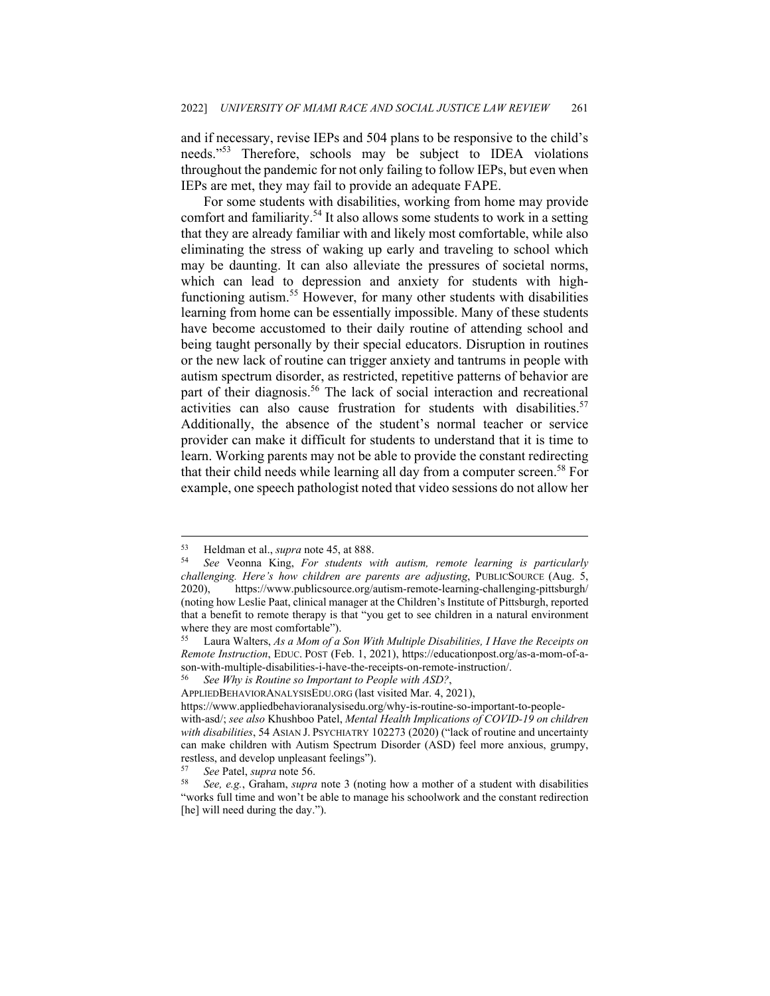and if necessary, revise IEPs and 504 plans to be responsive to the child's needs."<sup>53</sup> Therefore, schools may be subject to IDEA violations throughout the pandemic for not only failing to follow IEPs, but even when IEPs are met, they may fail to provide an adequate FAPE.

For some students with disabilities, working from home may provide comfort and familiarity.<sup>54</sup> It also allows some students to work in a setting that they are already familiar with and likely most comfortable, while also eliminating the stress of waking up early and traveling to school which may be daunting. It can also alleviate the pressures of societal norms, which can lead to depression and anxiety for students with highfunctioning autism.<sup>55</sup> However, for many other students with disabilities learning from home can be essentially impossible. Many of these students have become accustomed to their daily routine of attending school and being taught personally by their special educators. Disruption in routines or the new lack of routine can trigger anxiety and tantrums in people with autism spectrum disorder, as restricted, repetitive patterns of behavior are part of their diagnosis.<sup>56</sup> The lack of social interaction and recreational activities can also cause frustration for students with disabilities.<sup>57</sup> Additionally, the absence of the student's normal teacher or service provider can make it difficult for students to understand that it is time to learn. Working parents may not be able to provide the constant redirecting that their child needs while learning all day from a computer screen.<sup>58</sup> For example, one speech pathologist noted that video sessions do not allow her

<sup>53</sup> Heldman et al., *supra* note 45, at 888. 54 *See* Veonna King, *For students with autism, remote learning is particularly challenging. Here's how children are parents are adjusting*, PUBLICSOURCE (Aug. 5, 2020), https://www.publicsource.org/autism-remote-learning-challenging-pittsburgh/ (noting how Leslie Paat, clinical manager at the Children's Institute of Pittsburgh, reported that a benefit to remote therapy is that "you get to see children in a natural environment where they are most comfortable").

<sup>55</sup> Laura Walters, *As a Mom of a Son With Multiple Disabilities, I Have the Receipts on Remote Instruction*, EDUC. POST (Feb. 1, 2021), https://educationpost.org/as-a-mom-of-ason-with-multiple-disabilities-i-have-the-receipts-on-remote-instruction/. 56 *See Why is Routine so Important to People with ASD?*,

APPLIEDBEHAVIORANALYSISEDU.ORG (last visited Mar. 4, 2021),

https://www.appliedbehavioranalysisedu.org/why-is-routine-so-important-to-peoplewith-asd/; *see also* Khushboo Patel, *Mental Health Implications of COVID-19 on children with disabilities*, 54 ASIAN J. PSYCHIATRY 102273 (2020) ("lack of routine and uncertainty can make children with Autism Spectrum Disorder (ASD) feel more anxious, grumpy, restless, and develop unpleasant feelings").

<sup>57</sup> *See* Patel, *supra* note 56. 58 *See, e.g.*, Graham, *supra* note 3 (noting how a mother of a student with disabilities "works full time and won't be able to manage his schoolwork and the constant redirection [he] will need during the day.").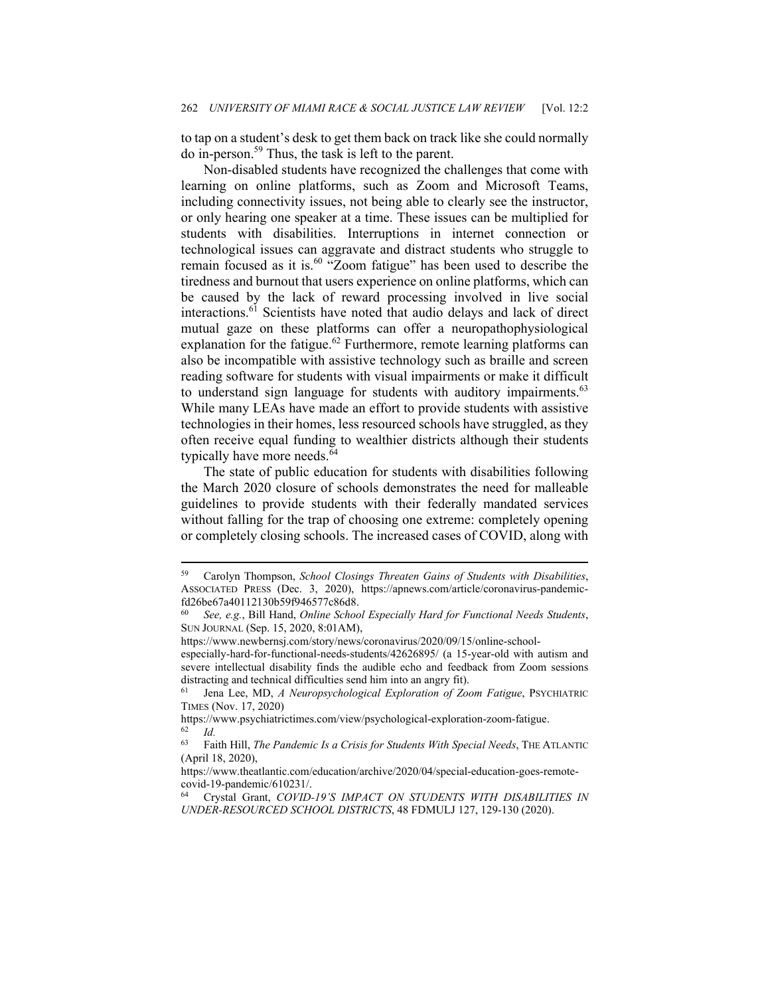to tap on a student's desk to get them back on track like she could normally do in-person.59 Thus, the task is left to the parent.

Non-disabled students have recognized the challenges that come with learning on online platforms, such as Zoom and Microsoft Teams, including connectivity issues, not being able to clearly see the instructor, or only hearing one speaker at a time. These issues can be multiplied for students with disabilities. Interruptions in internet connection or technological issues can aggravate and distract students who struggle to remain focused as it is.60 "Zoom fatigue" has been used to describe the tiredness and burnout that users experience on online platforms, which can be caused by the lack of reward processing involved in live social interactions.<sup>61</sup> Scientists have noted that audio delays and lack of direct mutual gaze on these platforms can offer a neuropathophysiological explanation for the fatigue.<sup>62</sup> Furthermore, remote learning platforms can also be incompatible with assistive technology such as braille and screen reading software for students with visual impairments or make it difficult to understand sign language for students with auditory impairments.<sup>63</sup> While many LEAs have made an effort to provide students with assistive technologies in their homes, less resourced schools have struggled, as they often receive equal funding to wealthier districts although their students typically have more needs.<sup>64</sup>

The state of public education for students with disabilities following the March 2020 closure of schools demonstrates the need for malleable guidelines to provide students with their federally mandated services without falling for the trap of choosing one extreme: completely opening or completely closing schools. The increased cases of COVID, along with

<sup>59</sup> Carolyn Thompson, *School Closings Threaten Gains of Students with Disabilities*, ASSOCIATED PRESS (Dec. 3, 2020), https://apnews.com/article/coronavirus-pandemicfd26be67a40112130b59f946577c86d8.

<sup>60</sup> *See, e.g.*, Bill Hand, *Online School Especially Hard for Functional Needs Students*, SUN JOURNAL (Sep. 15, 2020, 8:01AM),

https://www.newbernsj.com/story/news/coronavirus/2020/09/15/online-school-

especially-hard-for-functional-needs-students/42626895/ (a 15-year-old with autism and severe intellectual disability finds the audible echo and feedback from Zoom sessions distracting and technical difficulties send him into an angry fit). 61 Jena Lee, MD, *A Neuropsychological Exploration of Zoom Fatigue*, PSYCHIATRIC

TIMES (Nov. 17, 2020)

https://www.psychiatrictimes.com/view/psychological-exploration-zoom-fatigue. 62 *Id.*

<sup>63</sup> Faith Hill, *The Pandemic Is a Crisis for Students With Special Needs*, THE ATLANTIC (April 18, 2020),

https://www.theatlantic.com/education/archive/2020/04/special-education-goes-remotecovid-19-pandemic/610231/.

<sup>64</sup> Crystal Grant, *COVID-19'S IMPACT ON STUDENTS WITH DISABILITIES IN UNDER-RESOURCED SCHOOL DISTRICTS*, 48 FDMULJ 127, 129-130 (2020).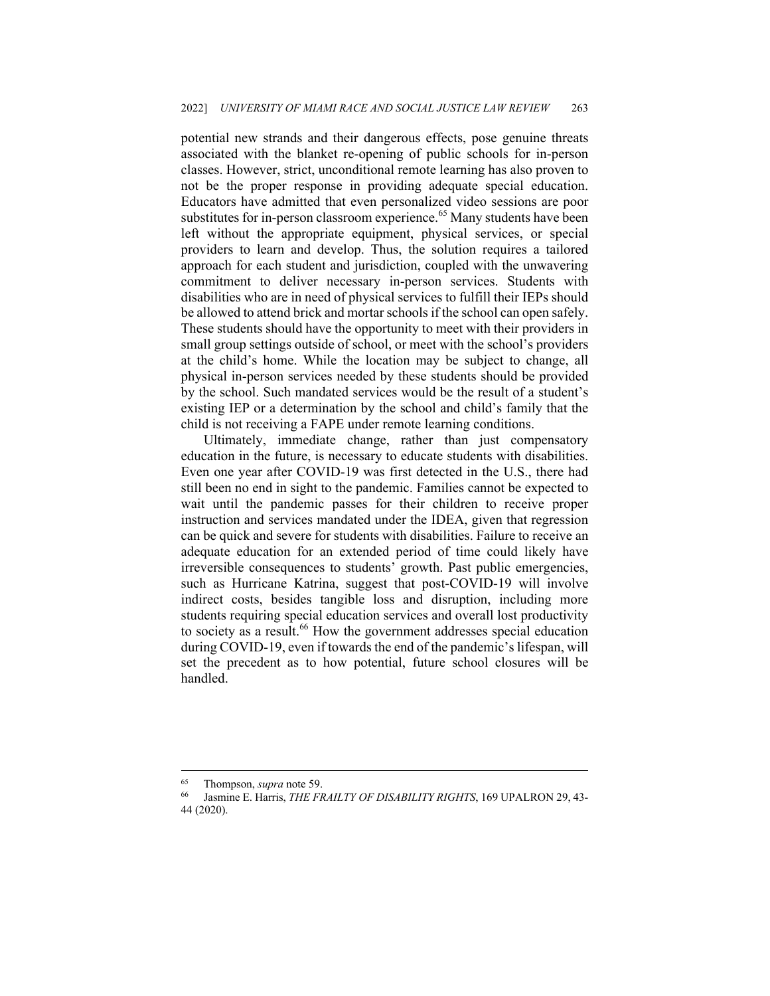potential new strands and their dangerous effects, pose genuine threats associated with the blanket re-opening of public schools for in-person classes. However, strict, unconditional remote learning has also proven to not be the proper response in providing adequate special education. Educators have admitted that even personalized video sessions are poor substitutes for in-person classroom experience.<sup>65</sup> Many students have been left without the appropriate equipment, physical services, or special providers to learn and develop. Thus, the solution requires a tailored approach for each student and jurisdiction, coupled with the unwavering commitment to deliver necessary in-person services. Students with disabilities who are in need of physical services to fulfill their IEPs should be allowed to attend brick and mortar schools if the school can open safely. These students should have the opportunity to meet with their providers in small group settings outside of school, or meet with the school's providers at the child's home. While the location may be subject to change, all physical in-person services needed by these students should be provided by the school. Such mandated services would be the result of a student's existing IEP or a determination by the school and child's family that the child is not receiving a FAPE under remote learning conditions.

Ultimately, immediate change, rather than just compensatory education in the future, is necessary to educate students with disabilities. Even one year after COVID-19 was first detected in the U.S., there had still been no end in sight to the pandemic. Families cannot be expected to wait until the pandemic passes for their children to receive proper instruction and services mandated under the IDEA, given that regression can be quick and severe for students with disabilities. Failure to receive an adequate education for an extended period of time could likely have irreversible consequences to students' growth. Past public emergencies, such as Hurricane Katrina, suggest that post-COVID-19 will involve indirect costs, besides tangible loss and disruption, including more students requiring special education services and overall lost productivity to society as a result.<sup>66</sup> How the government addresses special education during COVID-19, even if towards the end of the pandemic's lifespan, will set the precedent as to how potential, future school closures will be handled.

<sup>65</sup> Thompson, *supra* note 59. 66 Jasmine E. Harris, *THE FRAILTY OF DISABILITY RIGHTS*, 169 UPALRON 29, 43- 44 (2020).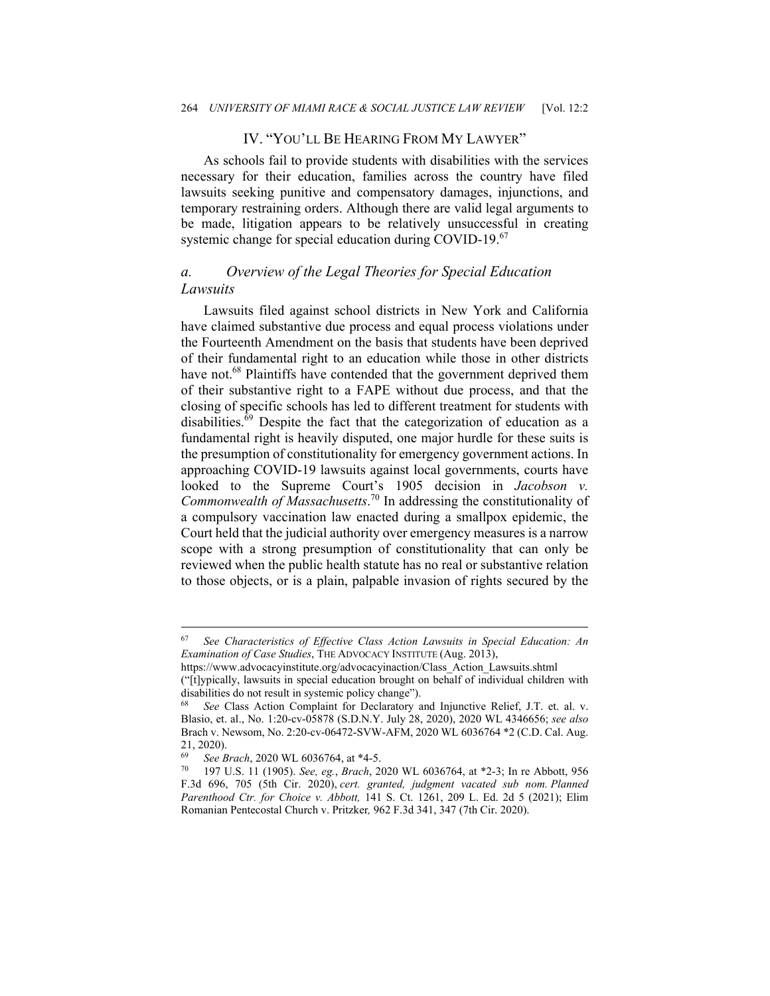## IV. "YOU'LL BE HEARING FROM MY LAWYER"

As schools fail to provide students with disabilities with the services necessary for their education, families across the country have filed lawsuits seeking punitive and compensatory damages, injunctions, and temporary restraining orders. Although there are valid legal arguments to be made, litigation appears to be relatively unsuccessful in creating systemic change for special education during COVID-19.<sup>67</sup>

## *a. Overview of the Legal Theories for Special Education Lawsuits*

Lawsuits filed against school districts in New York and California have claimed substantive due process and equal process violations under the Fourteenth Amendment on the basis that students have been deprived of their fundamental right to an education while those in other districts have not.<sup>68</sup> Plaintiffs have contended that the government deprived them of their substantive right to a FAPE without due process, and that the closing of specific schools has led to different treatment for students with disabilities. $\overline{69}$  Despite the fact that the categorization of education as a fundamental right is heavily disputed, one major hurdle for these suits is the presumption of constitutionality for emergency government actions. In approaching COVID-19 lawsuits against local governments, courts have looked to the Supreme Court's 1905 decision in *Jacobson v. Commonwealth of Massachusetts*. 70 In addressing the constitutionality of a compulsory vaccination law enacted during a smallpox epidemic, the Court held that the judicial authority over emergency measures is a narrow scope with a strong presumption of constitutionality that can only be reviewed when the public health statute has no real or substantive relation to those objects, or is a plain, palpable invasion of rights secured by the

("[t]ypically, lawsuits in special education brought on behalf of individual children with disabilities do not result in systemic policy change").

<sup>67</sup> *See Characteristics of Effective Class Action Lawsuits in Special Education: An Examination of Case Studies*, THE ADVOCACY INSTITUTE (Aug. 2013),

https://www.advocacyinstitute.org/advocacyinaction/Class\_Action\_Lawsuits.shtml

<sup>68</sup> *See* Class Action Complaint for Declaratory and Injunctive Relief, J.T. et. al. v. Blasio, et. al., No. 1:20-cv-05878 (S.D.N.Y. July 28, 2020), 2020 WL 4346656; *see also* Brach v. Newsom, No. 2:20-cv-06472-SVW-AFM, 2020 WL 6036764 \*2 (C.D. Cal. Aug. 21, 2020).

<sup>69</sup> *See Brach*, 2020 WL 6036764, at \*4-5. 70 197 U.S. 11 (1905). *See, eg.*, *Brach*, 2020 WL 6036764, at \*2-3; In re Abbott, 956 F.3d 696, 705 (5th Cir. 2020), *cert. granted, judgment vacated sub nom. Planned Parenthood Ctr. for Choice v. Abbott,* 141 S. Ct. 1261, 209 L. Ed. 2d 5 (2021); Elim Romanian Pentecostal Church v. Pritzker*,* 962 F.3d 341, 347 (7th Cir. 2020).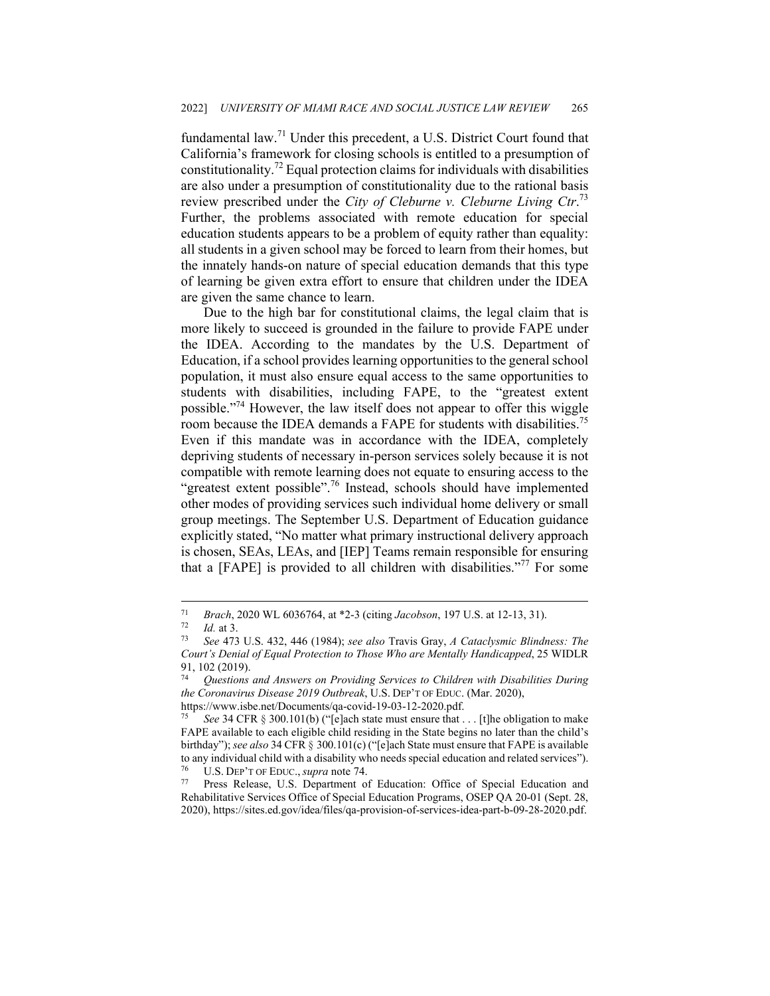fundamental law.71 Under this precedent, a U.S. District Court found that California's framework for closing schools is entitled to a presumption of constitutionality.<sup>72</sup> Equal protection claims for individuals with disabilities are also under a presumption of constitutionality due to the rational basis review prescribed under the *City of Cleburne v. Cleburne Living Ctr*. 73 Further, the problems associated with remote education for special education students appears to be a problem of equity rather than equality: all students in a given school may be forced to learn from their homes, but the innately hands-on nature of special education demands that this type of learning be given extra effort to ensure that children under the IDEA are given the same chance to learn.

Due to the high bar for constitutional claims, the legal claim that is more likely to succeed is grounded in the failure to provide FAPE under the IDEA. According to the mandates by the U.S. Department of Education, if a school provides learning opportunities to the general school population, it must also ensure equal access to the same opportunities to students with disabilities, including FAPE, to the "greatest extent possible."74 However, the law itself does not appear to offer this wiggle room because the IDEA demands a FAPE for students with disabilities.<sup>75</sup> Even if this mandate was in accordance with the IDEA, completely depriving students of necessary in-person services solely because it is not compatible with remote learning does not equate to ensuring access to the "greatest extent possible".<sup>76</sup> Instead, schools should have implemented other modes of providing services such individual home delivery or small group meetings. The September U.S. Department of Education guidance explicitly stated, "No matter what primary instructional delivery approach is chosen, SEAs, LEAs, and [IEP] Teams remain responsible for ensuring that a [FAPE] is provided to all children with disabilities."<sup>77</sup> For some

<sup>71</sup> *Brach*, 2020 WL 6036764, at \*2-3 (citing *Jacobson*, 197 U.S. at 12-13, 31). 72 *Id.* at 3. 73 *See* 473 U.S. 432, 446 (1984); *see also* Travis Gray, *A Cataclysmic Blindness: The* 

*Court's Denial of Equal Protection to Those Who are Mentally Handicapped*, 25 WIDLR 91, 102 (2019).

<sup>74</sup> *Questions and Answers on Providing Services to Children with Disabilities During the Coronavirus Disease 2019 Outbreak*, U.S. DEP'T OF EDUC. (Mar. 2020), https://www.isbe.net/Documents/qa-covid-19-03-12-2020.pdf.

*See* 34 CFR § 300.101(b) ("[e]ach state must ensure that . . . [t]he obligation to make FAPE available to each eligible child residing in the State begins no later than the child's birthday"); *see also* 34 CFR § 300.101(c) ("[e]ach State must ensure that FAPE is available to any individual child with a disability who needs special education and related services").

<sup>76</sup> U.S. DEP'T OF EDUC., *supra* note 74. 77 Press Release, U.S. Department of Education: Office of Special Education and Rehabilitative Services Office of Special Education Programs, OSEP QA 20-01 (Sept. 28, 2020), https://sites.ed.gov/idea/files/qa-provision-of-services-idea-part-b-09-28-2020.pdf.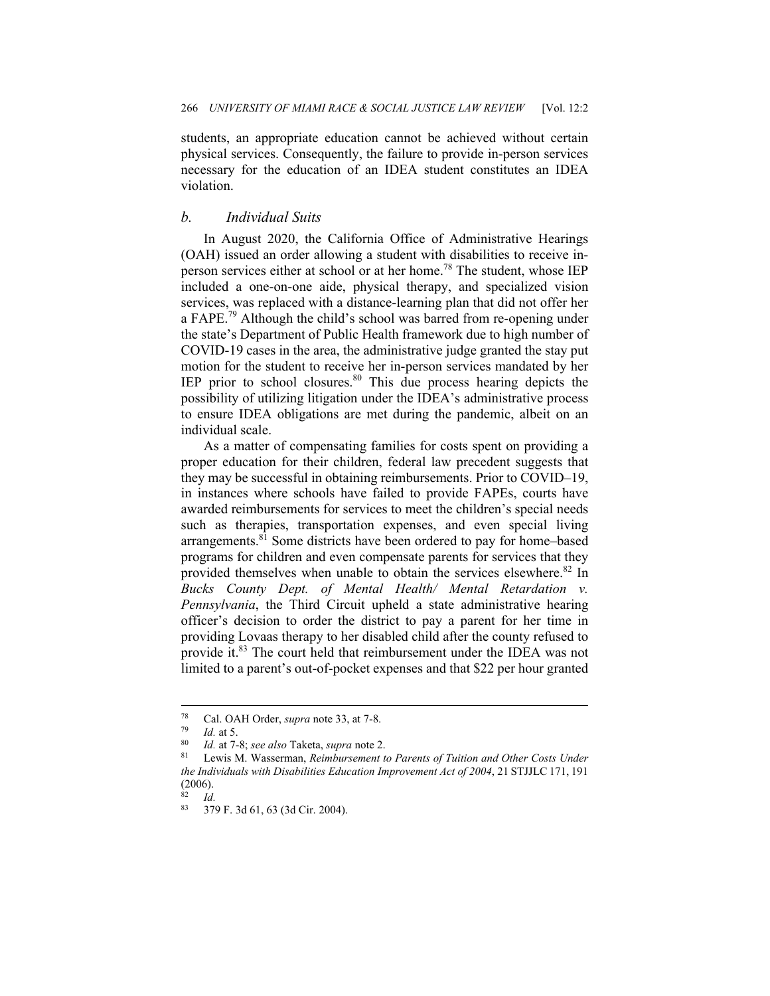students, an appropriate education cannot be achieved without certain physical services. Consequently, the failure to provide in-person services necessary for the education of an IDEA student constitutes an IDEA violation.

#### *b. Individual Suits*

In August 2020, the California Office of Administrative Hearings (OAH) issued an order allowing a student with disabilities to receive inperson services either at school or at her home.<sup>78</sup> The student, whose IEP included a one-on-one aide, physical therapy, and specialized vision services, was replaced with a distance-learning plan that did not offer her a FAPE.<sup>79</sup> Although the child's school was barred from re-opening under the state's Department of Public Health framework due to high number of COVID-19 cases in the area, the administrative judge granted the stay put motion for the student to receive her in-person services mandated by her IEP prior to school closures. $80$  This due process hearing depicts the possibility of utilizing litigation under the IDEA's administrative process to ensure IDEA obligations are met during the pandemic, albeit on an individual scale.

As a matter of compensating families for costs spent on providing a proper education for their children, federal law precedent suggests that they may be successful in obtaining reimbursements. Prior to COVID–19, in instances where schools have failed to provide FAPEs, courts have awarded reimbursements for services to meet the children's special needs such as therapies, transportation expenses, and even special living arrangements.<sup>81</sup> Some districts have been ordered to pay for home–based programs for children and even compensate parents for services that they provided themselves when unable to obtain the services elsewhere.<sup>82</sup> In *Bucks County Dept. of Mental Health/ Mental Retardation v. Pennsylvania*, the Third Circuit upheld a state administrative hearing officer's decision to order the district to pay a parent for her time in providing Lovaas therapy to her disabled child after the county refused to provide it.<sup>83</sup> The court held that reimbursement under the IDEA was not limited to a parent's out-of-pocket expenses and that \$22 per hour granted

<sup>78</sup> Cal. OAH Order, *supra* note 33, at 7-8.<br><sup>79</sup> *Id.* at 5.<br><sup>80</sup> *Id.* at 7-8; *see also* Taketa, *supra* note 2.<br><sup>81</sup> Lewis M. Wasserman, *Reimbursement to Parents of Tuition and Other Costs Under the Individuals with Disabilities Education Improvement Act of 2004*, 21 STJJLC 171, 191 (2006).

 $rac{82}{83}$  *Id.* 

<sup>83 379</sup> F. 3d 61, 63 (3d Cir. 2004).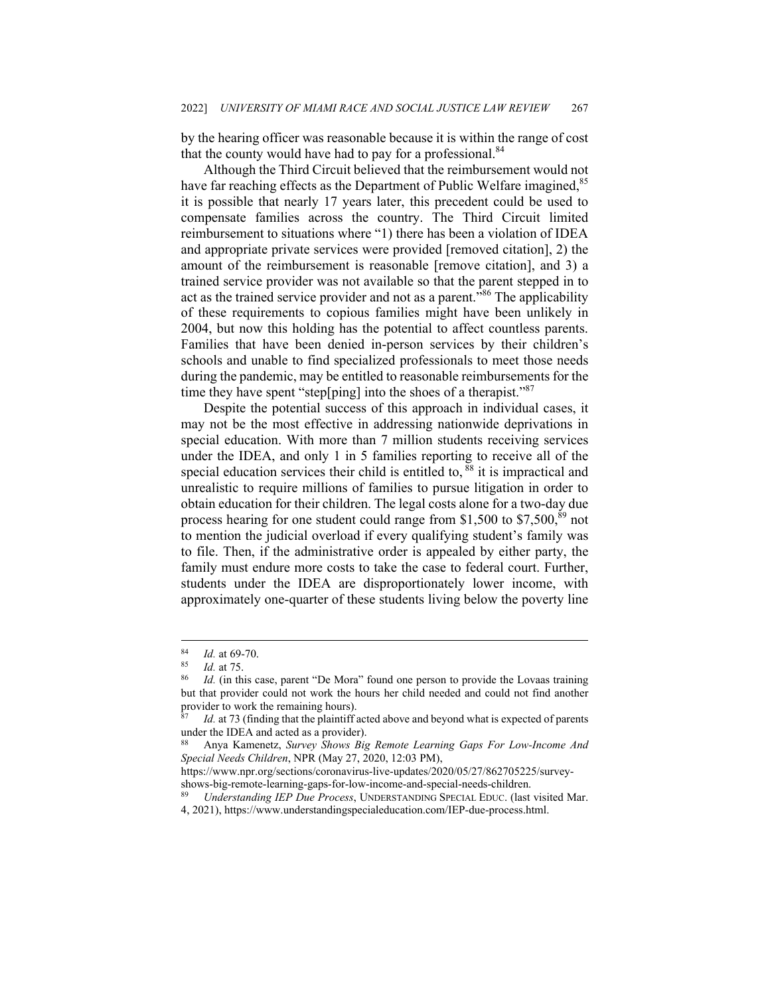by the hearing officer was reasonable because it is within the range of cost that the county would have had to pay for a professional. $84$ 

Although the Third Circuit believed that the reimbursement would not have far reaching effects as the Department of Public Welfare imagined,<sup>85</sup> it is possible that nearly 17 years later, this precedent could be used to compensate families across the country. The Third Circuit limited reimbursement to situations where "1) there has been a violation of IDEA and appropriate private services were provided [removed citation], 2) the amount of the reimbursement is reasonable [remove citation], and 3) a trained service provider was not available so that the parent stepped in to act as the trained service provider and not as a parent."<sup>86</sup> The applicability of these requirements to copious families might have been unlikely in 2004, but now this holding has the potential to affect countless parents. Families that have been denied in-person services by their children's schools and unable to find specialized professionals to meet those needs during the pandemic, may be entitled to reasonable reimbursements for the time they have spent "step[ping] into the shoes of a therapist."<sup>87</sup>

Despite the potential success of this approach in individual cases, it may not be the most effective in addressing nationwide deprivations in special education. With more than 7 million students receiving services under the IDEA, and only 1 in 5 families reporting to receive all of the special education services their child is entitled to,  $\frac{88}{9}$  it is impractical and unrealistic to require millions of families to pursue litigation in order to obtain education for their children. The legal costs alone for a two-day due process hearing for one student could range from \$1,500 to \$7,500, $^{89}$  not to mention the judicial overload if every qualifying student's family was to file. Then, if the administrative order is appealed by either party, the family must endure more costs to take the case to federal court. Further, students under the IDEA are disproportionately lower income, with approximately one-quarter of these students living below the poverty line

<sup>84</sup>*Id.* at 69-70.<br><sup>85</sup> *Id.* at 75.<br><sup>86</sup> *Id.* (in this case, parent "De Mora" found one person to provide the Lovaas training but that provider could not work the hours her child needed and could not find another provider to work the remaining hours).

Id. at 73 (finding that the plaintiff acted above and beyond what is expected of parents under the IDEA and acted as a provider).

<sup>88</sup> Anya Kamenetz, *Survey Shows Big Remote Learning Gaps For Low-Income And Special Needs Children*, NPR (May 27, 2020, 12:03 PM),

https://www.npr.org/sections/coronavirus-live-updates/2020/05/27/862705225/surveyshows-big-remote-learning-gaps-for-low-income-and-special-needs-children. 89 *Understanding IEP Due Process*, UNDERSTANDING SPECIAL EDUC. (last visited Mar.

<sup>4, 2021),</sup> https://www.understandingspecialeducation.com/IEP-due-process.html.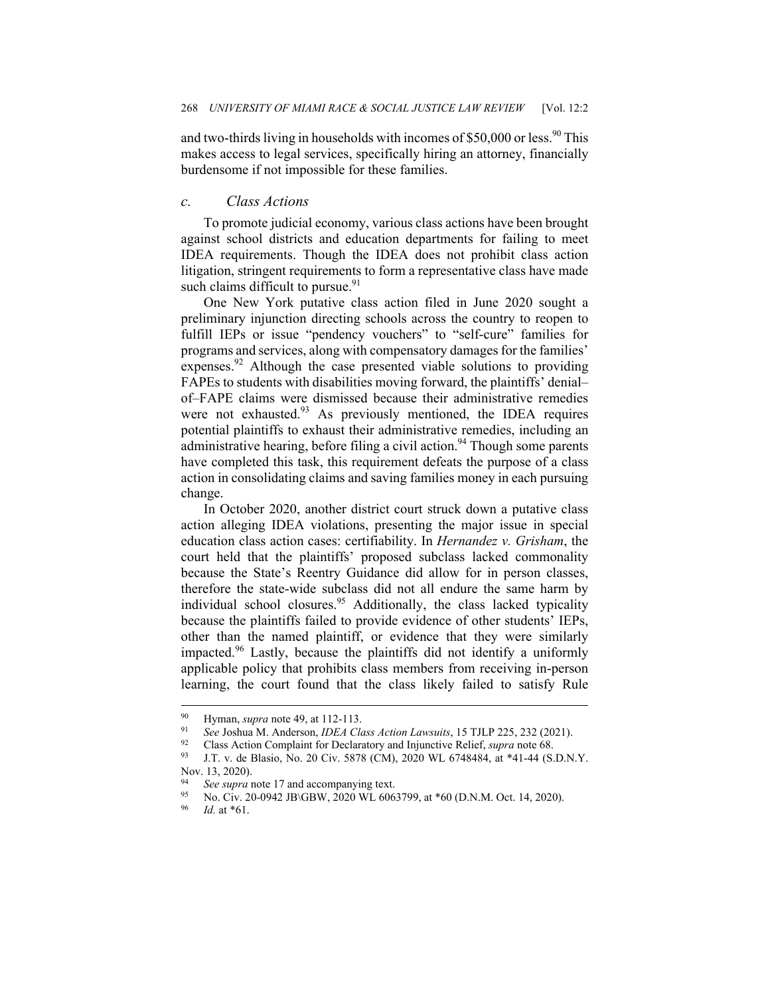and two-thirds living in households with incomes of \$50,000 or less.<sup>90</sup> This makes access to legal services, specifically hiring an attorney, financially burdensome if not impossible for these families.

#### *c. Class Actions*

To promote judicial economy, various class actions have been brought against school districts and education departments for failing to meet IDEA requirements. Though the IDEA does not prohibit class action litigation, stringent requirements to form a representative class have made such claims difficult to pursue.<sup>91</sup>

One New York putative class action filed in June 2020 sought a preliminary injunction directing schools across the country to reopen to fulfill IEPs or issue "pendency vouchers" to "self-cure" families for programs and services, along with compensatory damages for the families' expenses.<sup>92</sup> Although the case presented viable solutions to providing FAPEs to students with disabilities moving forward, the plaintiffs' denial– of–FAPE claims were dismissed because their administrative remedies were not exhausted.<sup>93</sup> As previously mentioned, the IDEA requires potential plaintiffs to exhaust their administrative remedies, including an administrative hearing, before filing a civil action.<sup>94</sup> Though some parents have completed this task, this requirement defeats the purpose of a class action in consolidating claims and saving families money in each pursuing change.

In October 2020, another district court struck down a putative class action alleging IDEA violations, presenting the major issue in special education class action cases: certifiability. In *Hernandez v. Grisham*, the court held that the plaintiffs' proposed subclass lacked commonality because the State's Reentry Guidance did allow for in person classes, therefore the state-wide subclass did not all endure the same harm by individual school closures.<sup>95</sup> Additionally, the class lacked typicality because the plaintiffs failed to provide evidence of other students' IEPs, other than the named plaintiff, or evidence that they were similarly impacted.96 Lastly, because the plaintiffs did not identify a uniformly applicable policy that prohibits class members from receiving in-person learning, the court found that the class likely failed to satisfy Rule

<sup>&</sup>lt;sup>90</sup> Hyman, *supra* note 49, at 112-113.<br><sup>91</sup> See Joshua M. Anderson, *IDEA Class Action Lawsuits*, 15 TJLP 225, 232 (2021).<br><sup>92</sup> Class Action Complaint for Declaratory and Injunctive Relief, *supra* note 68.<br><sup>93</sup> J.T. v.

Nov. 13, 2020).

<sup>94</sup> See supra note 17 and accompanying text.<br>
95 No. Civ. 20-0942 JB\GBW, 2020 WL 6063799, at \*60 (D.N.M. Oct. 14, 2020).<br>
96 *Id.* at \*61.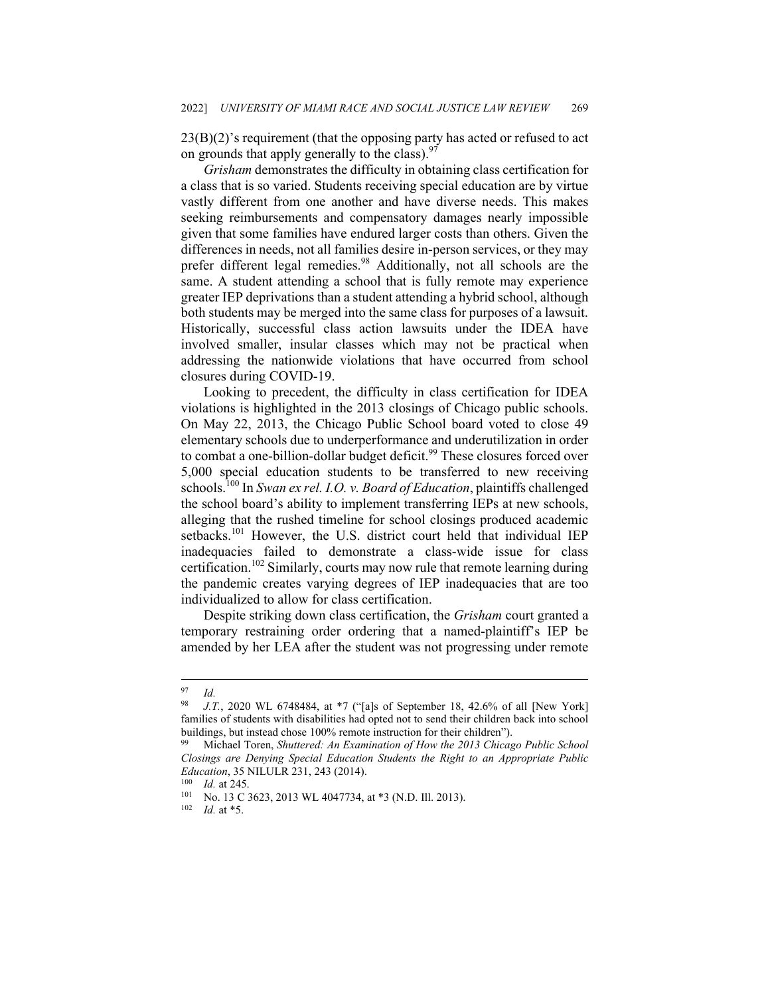23(B)(2)'s requirement (that the opposing party has acted or refused to act on grounds that apply generally to the class).  $97$ 

*Grisham* demonstrates the difficulty in obtaining class certification for a class that is so varied. Students receiving special education are by virtue vastly different from one another and have diverse needs. This makes seeking reimbursements and compensatory damages nearly impossible given that some families have endured larger costs than others. Given the differences in needs, not all families desire in-person services, or they may prefer different legal remedies.<sup>98</sup> Additionally, not all schools are the same. A student attending a school that is fully remote may experience greater IEP deprivations than a student attending a hybrid school, although both students may be merged into the same class for purposes of a lawsuit. Historically, successful class action lawsuits under the IDEA have involved smaller, insular classes which may not be practical when addressing the nationwide violations that have occurred from school closures during COVID-19.

Looking to precedent, the difficulty in class certification for IDEA violations is highlighted in the 2013 closings of Chicago public schools. On May 22, 2013, the Chicago Public School board voted to close 49 elementary schools due to underperformance and underutilization in order to combat a one-billion-dollar budget deficit.<sup>99</sup> These closures forced over 5,000 special education students to be transferred to new receiving schools.100 In *Swan ex rel. I.O. v. Board of Education*, plaintiffs challenged the school board's ability to implement transferring IEPs at new schools, alleging that the rushed timeline for school closings produced academic setbacks.<sup>101</sup> However, the U.S. district court held that individual IEP inadequacies failed to demonstrate a class-wide issue for class certification.<sup>102</sup> Similarly, courts may now rule that remote learning during the pandemic creates varying degrees of IEP inadequacies that are too individualized to allow for class certification.

Despite striking down class certification, the *Grisham* court granted a temporary restraining order ordering that a named-plaintiff's IEP be amended by her LEA after the student was not progressing under remote

 $\frac{97}{98}$  *Id.* 

J.T., 2020 WL 6748484, at \*7 ("[a]s of September 18, 42.6% of all [New York] families of students with disabilities had opted not to send their children back into school buildings, but instead chose 100% remote instruction for their children").

<sup>99</sup> Michael Toren, *Shuttered: An Examination of How the 2013 Chicago Public School Closings are Denying Special Education Students the Right to an Appropriate Public Education*, 35 NILULR 231, 243 (2014).<br><sup>100</sup> *Id.* at 245.<br><sup>101</sup> No. 13 C 3623, 2013 WL 4047734, at \*3 (N.D. Ill. 2013).<br><sup>102</sup> *Id.* at \*5.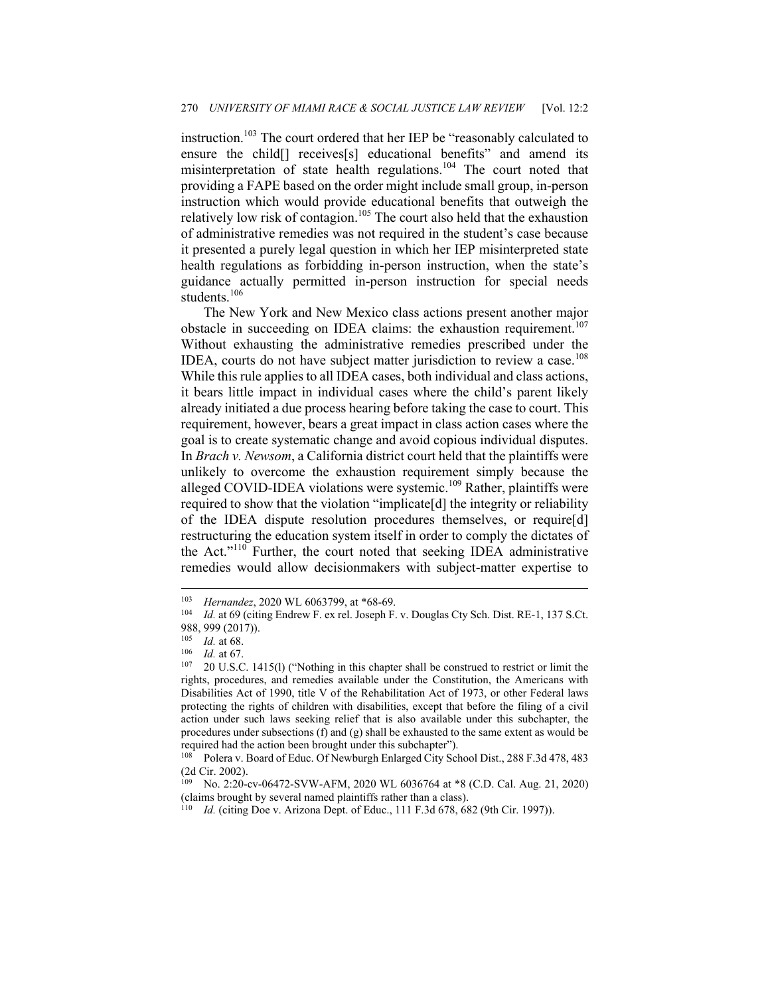instruction.<sup>103</sup> The court ordered that her IEP be "reasonably calculated to ensure the child<sup>[]</sup> receives<sup>[s]</sup> educational benefits" and amend its misinterpretation of state health regulations.<sup>104</sup> The court noted that providing a FAPE based on the order might include small group, in-person instruction which would provide educational benefits that outweigh the relatively low risk of contagion.<sup>105</sup> The court also held that the exhaustion of administrative remedies was not required in the student's case because it presented a purely legal question in which her IEP misinterpreted state health regulations as forbidding in-person instruction, when the state's guidance actually permitted in-person instruction for special needs students.<sup>106</sup>

The New York and New Mexico class actions present another major obstacle in succeeding on IDEA claims: the exhaustion requirement.<sup>107</sup> Without exhausting the administrative remedies prescribed under the IDEA, courts do not have subject matter jurisdiction to review a case.<sup>108</sup> While this rule applies to all IDEA cases, both individual and class actions, it bears little impact in individual cases where the child's parent likely already initiated a due process hearing before taking the case to court. This requirement, however, bears a great impact in class action cases where the goal is to create systematic change and avoid copious individual disputes. In *Brach v. Newsom*, a California district court held that the plaintiffs were unlikely to overcome the exhaustion requirement simply because the alleged COVID-IDEA violations were systemic.<sup>109</sup> Rather, plaintiffs were required to show that the violation "implicate[d] the integrity or reliability of the IDEA dispute resolution procedures themselves, or require[d] restructuring the education system itself in order to comply the dictates of the Act."<sup>110</sup> Further, the court noted that seeking IDEA administrative remedies would allow decisionmakers with subject-matter expertise to

<sup>103</sup> *Hernandez*, 2020 WL 6063799, at \*68-69.<br>
104 *Id.* at 69 (citing Endrew F. ex rel. Joseph F. v. Douglas Cty Sch. Dist. RE-1, 137 S.Ct. 988, 999 (2017)).

<sup>105</sup> *Id.* at 68.<br><sup>106</sup> *Id.* at 67.<br><sup>107</sup> 20 U.S.C. 1415(l) ("Nothing in this chapter shall be construed to restrict or limit the rights, procedures, and remedies available under the Constitution, the Americans with Disabilities Act of 1990, title V of the Rehabilitation Act of 1973, or other Federal laws protecting the rights of children with disabilities, except that before the filing of a civil action under such laws seeking relief that is also available under this subchapter, the procedures under subsections (f) and (g) shall be exhausted to the same extent as would be required had the action been brought under this subchapter").

<sup>108</sup> Polera v. Board of Educ. Of Newburgh Enlarged City School Dist., 288 F.3d 478, 483 (2d Cir. 2002).

<sup>109</sup> No. 2:20-cv-06472-SVW-AFM, 2020 WL 6036764 at \*8 (C.D. Cal. Aug. 21, 2020) (claims brought by several named plaintiffs rather than a class). 110 *Id.* (citing Doe v. Arizona Dept. of Educ., 111 F.3d 678, 682 (9th Cir. 1997)).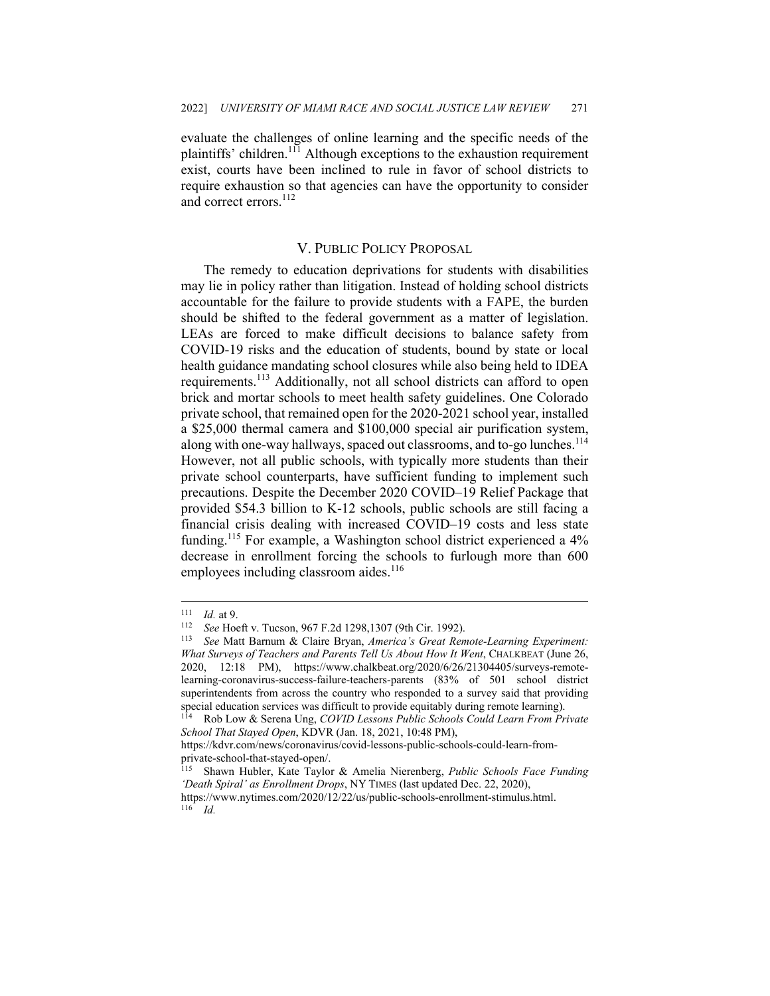evaluate the challenges of online learning and the specific needs of the plaintiffs' children.111 Although exceptions to the exhaustion requirement exist, courts have been inclined to rule in favor of school districts to require exhaustion so that agencies can have the opportunity to consider and correct errors.<sup>112</sup>

#### V. PUBLIC POLICY PROPOSAL

The remedy to education deprivations for students with disabilities may lie in policy rather than litigation. Instead of holding school districts accountable for the failure to provide students with a FAPE, the burden should be shifted to the federal government as a matter of legislation. LEAs are forced to make difficult decisions to balance safety from COVID-19 risks and the education of students, bound by state or local health guidance mandating school closures while also being held to IDEA requirements.<sup>113</sup> Additionally, not all school districts can afford to open brick and mortar schools to meet health safety guidelines. One Colorado private school, that remained open for the 2020-2021 school year, installed a \$25,000 thermal camera and \$100,000 special air purification system, along with one-way hallways, spaced out classrooms, and to-go lunches.<sup>114</sup> However, not all public schools, with typically more students than their private school counterparts, have sufficient funding to implement such precautions. Despite the December 2020 COVID–19 Relief Package that provided \$54.3 billion to K-12 schools, public schools are still facing a financial crisis dealing with increased COVID–19 costs and less state funding.<sup>115</sup> For example, a Washington school district experienced a 4% decrease in enrollment forcing the schools to furlough more than 600 employees including classroom aides.<sup>116</sup>

<sup>111</sup> *Id.* at 9.<br><sup>112</sup> See Hoeft v. Tucson, 967 F.2d 1298,1307 (9th Cir. 1992).<br><sup>113</sup> See Matt Barnum & Claire Bryan, *America's Great Remote-Learning Experiment: What Surveys of Teachers and Parents Tell Us About How It Went*, CHALKBEAT (June 26, 2020, 12:18 PM), https://www.chalkbeat.org/2020/6/26/21304405/surveys-remotelearning-coronavirus-success-failure-teachers-parents (83% of 501 school district superintendents from across the country who responded to a survey said that providing special education services was difficult to provide equitably during remote learning). 114 Rob Low & Serena Ung, *COVID Lessons Public Schools Could Learn From Private* 

*School That Stayed Open*, KDVR (Jan. 18, 2021, 10:48 PM),

https://kdvr.com/news/coronavirus/covid-lessons-public-schools-could-learn-fromprivate-school-that-stayed-open/.

<sup>115</sup> Shawn Hubler, Kate Taylor & Amelia Nierenberg, *Public Schools Face Funding 'Death Spiral' as Enrollment Drops*, NY TIMES (last updated Dec. 22, 2020), https://www.nytimes.com/2020/12/22/us/public-schools-enrollment-stimulus.html. 116 *Id.*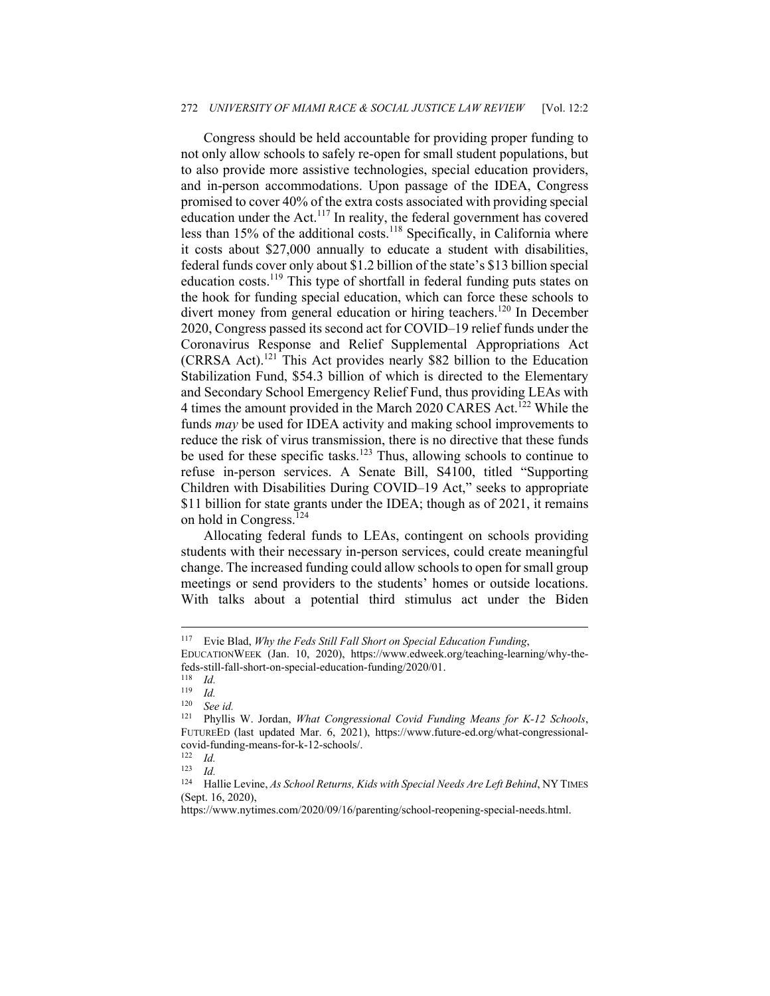#### 272 *UNIVERSITY OF MIAMI RACE & SOCIAL JUSTICE LAW REVIEW* [Vol. 12:2

Congress should be held accountable for providing proper funding to not only allow schools to safely re-open for small student populations, but to also provide more assistive technologies, special education providers, and in-person accommodations. Upon passage of the IDEA, Congress promised to cover 40% of the extra costs associated with providing special education under the Act.<sup>117</sup> In reality, the federal government has covered less than 15% of the additional costs.<sup>118</sup> Specifically, in California where it costs about \$27,000 annually to educate a student with disabilities, federal funds cover only about \$1.2 billion of the state's \$13 billion special education costs.119 This type of shortfall in federal funding puts states on the hook for funding special education, which can force these schools to divert money from general education or hiring teachers.120 In December 2020, Congress passed its second act for COVID–19 relief funds under the Coronavirus Response and Relief Supplemental Appropriations Act (CRRSA Act).121 This Act provides nearly \$82 billion to the Education Stabilization Fund, \$54.3 billion of which is directed to the Elementary and Secondary School Emergency Relief Fund, thus providing LEAs with 4 times the amount provided in the March 2020 CARES Act.<sup>122</sup> While the funds *may* be used for IDEA activity and making school improvements to reduce the risk of virus transmission, there is no directive that these funds be used for these specific tasks.<sup>123</sup> Thus, allowing schools to continue to refuse in-person services. A Senate Bill, S4100, titled "Supporting Children with Disabilities During COVID–19 Act," seeks to appropriate \$11 billion for state grants under the IDEA; though as of 2021, it remains on hold in Congress.<sup>124</sup>

Allocating federal funds to LEAs, contingent on schools providing students with their necessary in-person services, could create meaningful change. The increased funding could allow schools to open for small group meetings or send providers to the students' homes or outside locations. With talks about a potential third stimulus act under the Biden

<sup>117</sup> Evie Blad, *Why the Feds Still Fall Short on Special Education Funding*, EDUCATIONWEEK (Jan. 10, 2020), https://www.edweek.org/teaching-learning/why-the-

feds-still-fall-short-on-special-education-funding/2020/01.

 $\frac{118}{119}$  *Id.* 

 $\frac{119}{120}$  *Id.* 

<sup>120</sup> *See id.*

<sup>121</sup> Phyllis W. Jordan, *What Congressional Covid Funding Means for K-12 Schools*, FUTUREED (last updated Mar. 6, 2021), https://www.future-ed.org/what-congressionalcovid-funding-means-for-k-12-schools/.

 $\frac{122}{123}$  *Id.* 

 $\frac{123}{124}$  *Id.* 

<sup>124</sup> Hallie Levine, *As School Returns, Kids with Special Needs Are Left Behind*, NY TIMES (Sept. 16, 2020),

https://www.nytimes.com/2020/09/16/parenting/school-reopening-special-needs.html.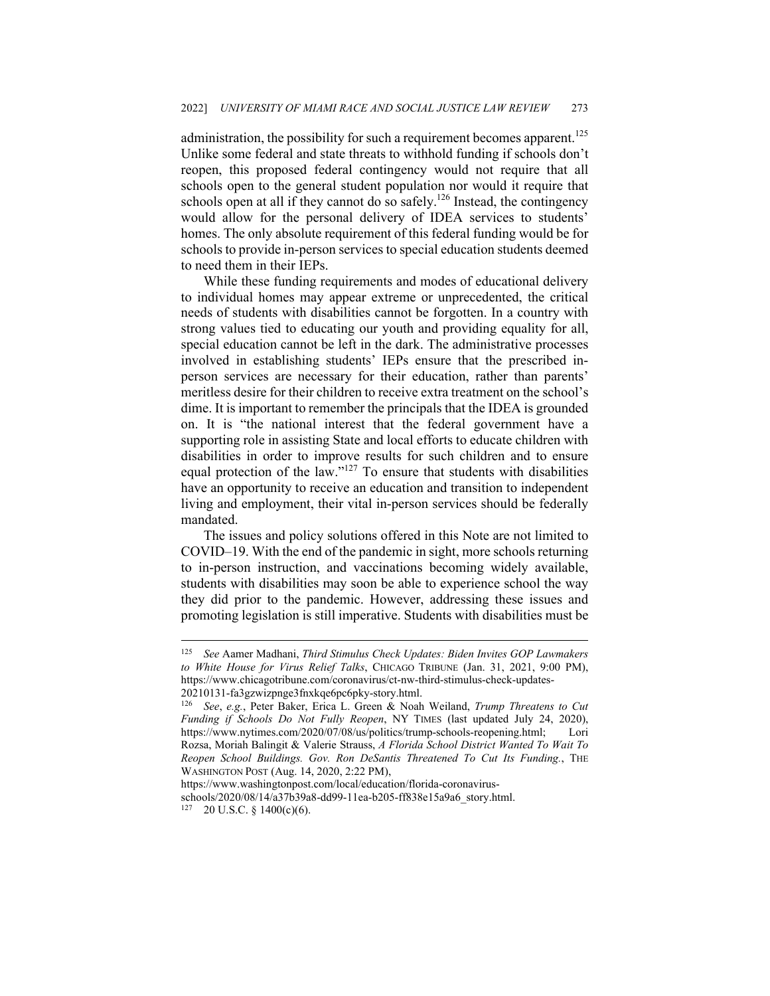administration, the possibility for such a requirement becomes apparent.<sup>125</sup> Unlike some federal and state threats to withhold funding if schools don't reopen, this proposed federal contingency would not require that all schools open to the general student population nor would it require that schools open at all if they cannot do so safely.<sup>126</sup> Instead, the contingency would allow for the personal delivery of IDEA services to students' homes. The only absolute requirement of this federal funding would be for schools to provide in-person services to special education students deemed to need them in their IEPs.

While these funding requirements and modes of educational delivery to individual homes may appear extreme or unprecedented, the critical needs of students with disabilities cannot be forgotten. In a country with strong values tied to educating our youth and providing equality for all, special education cannot be left in the dark. The administrative processes involved in establishing students' IEPs ensure that the prescribed inperson services are necessary for their education, rather than parents' meritless desire for their children to receive extra treatment on the school's dime. It is important to remember the principals that the IDEA is grounded on. It is "the national interest that the federal government have a supporting role in assisting State and local efforts to educate children with disabilities in order to improve results for such children and to ensure equal protection of the law."127 To ensure that students with disabilities have an opportunity to receive an education and transition to independent living and employment, their vital in-person services should be federally mandated.

The issues and policy solutions offered in this Note are not limited to COVID–19. With the end of the pandemic in sight, more schools returning to in-person instruction, and vaccinations becoming widely available, students with disabilities may soon be able to experience school the way they did prior to the pandemic. However, addressing these issues and promoting legislation is still imperative. Students with disabilities must be

<sup>125</sup> *See* Aamer Madhani, *Third Stimulus Check Updates: Biden Invites GOP Lawmakers to White House for Virus Relief Talks*, CHICAGO TRIBUNE (Jan. 31, 2021, 9:00 PM), https://www.chicagotribune.com/coronavirus/ct-nw-third-stimulus-check-updates-20210131-fa3gzwizpnge3fnxkqe6pc6pky-story.html.

<sup>126</sup> *See*, *e.g.*, Peter Baker, Erica L. Green & Noah Weiland, *Trump Threatens to Cut Funding if Schools Do Not Fully Reopen*, NY TIMES (last updated July 24, 2020), https://www.nytimes.com/2020/07/08/us/politics/trump-schools-reopening.html; Lori Rozsa, Moriah Balingit & Valerie Strauss, *A Florida School District Wanted To Wait To Reopen School Buildings. Gov. Ron DeSantis Threatened To Cut Its Funding.*, THE WASHINGTON POST (Aug. 14, 2020, 2:22 PM),

https://www.washingtonpost.com/local/education/florida-coronavirus-

schools/2020/08/14/a37b39a8-dd99-11ea-b205-ff838e15a9a6\_story.html.  $127$  20 U.S.C. § 1400(c)(6).